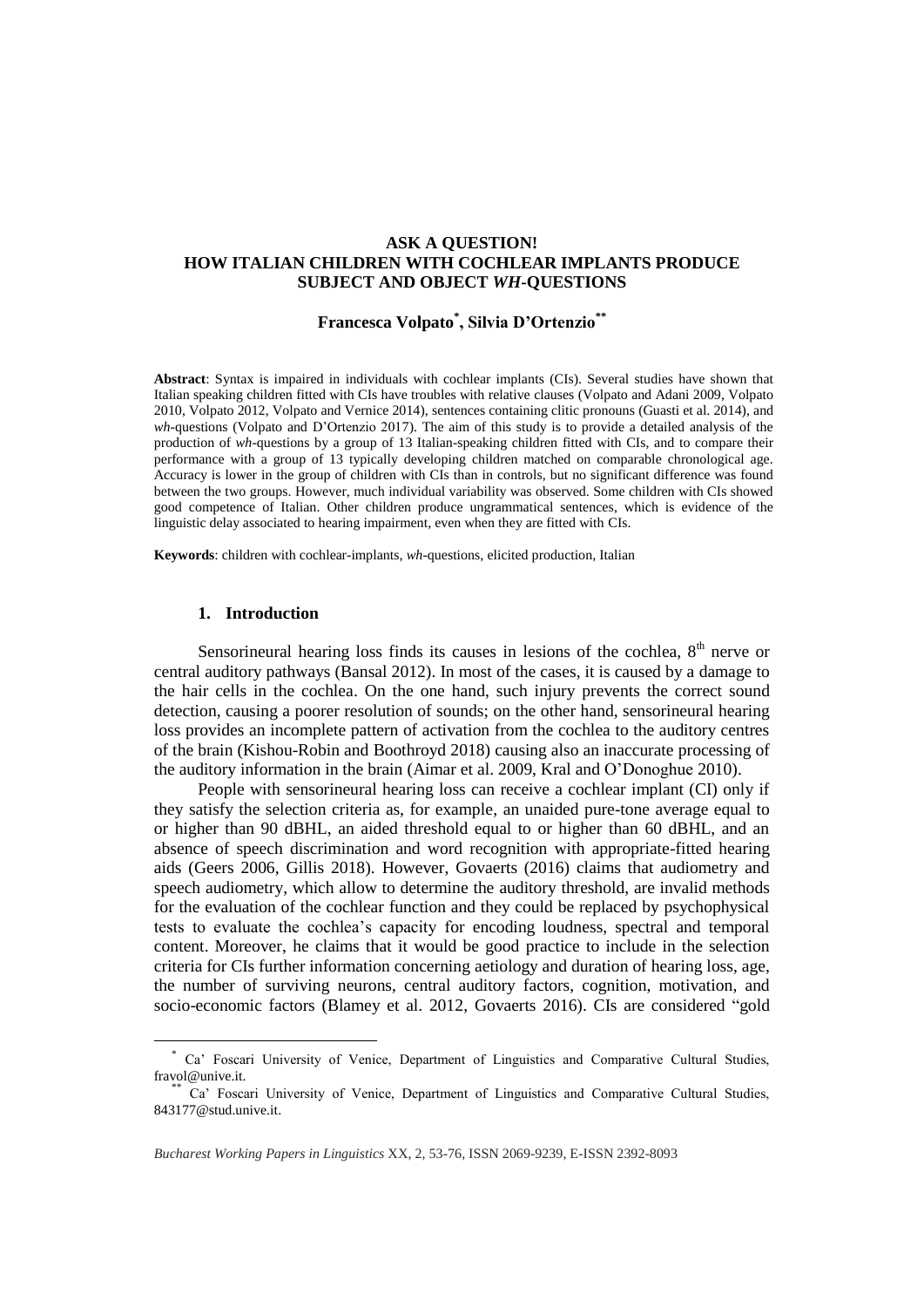### **ASK A QUESTION! HOW ITALIAN CHILDREN WITH COCHLEAR IMPLANTS PRODUCE SUBJECT AND OBJECT** *WH***-QUESTIONS**

# **Francesca Volpato\* , Silvia D'Ortenzio\*\***

**Abstract**: Syntax is impaired in individuals with cochlear implants (CIs). Several studies have shown that Italian speaking children fitted with CIs have troubles with relative clauses (Volpato and Adani 2009, Volpato 2010, Volpato 2012, Volpato and Vernice 2014), sentences containing clitic pronouns (Guasti et al. 2014), and *wh*-questions (Volpato and D'Ortenzio 2017). The aim of this study is to provide a detailed analysis of the production of *wh*-questions by a group of 13 Italian-speaking children fitted with CIs, and to compare their performance with a group of 13 typically developing children matched on comparable chronological age. Accuracy is lower in the group of children with CIs than in controls, but no significant difference was found between the two groups. However, much individual variability was observed. Some children with CIs showed good competence of Italian. Other children produce ungrammatical sentences, which is evidence of the linguistic delay associated to hearing impairment, even when they are fitted with CIs.

**Keywords**: children with cochlear-implants, *wh-*questions, elicited production, Italian

#### **1. Introduction**

 $\overline{a}$ 

Sensorineural hearing loss finds its causes in lesions of the cochlea,  $8<sup>th</sup>$  nerve or central auditory pathways (Bansal 2012). In most of the cases, it is caused by a damage to the hair cells in the cochlea. On the one hand, such injury prevents the correct sound detection, causing a poorer resolution of sounds; on the other hand, sensorineural hearing loss provides an incomplete pattern of activation from the cochlea to the auditory centres of the brain (Kishou-Robin and Boothroyd 2018) causing also an inaccurate processing of the auditory information in the brain (Aimar et al. 2009, Kral and O'Donoghue 2010).

People with sensorineural hearing loss can receive a cochlear implant (CI) only if they satisfy the selection criteria as, for example, an unaided pure-tone average equal to or higher than 90 dBHL, an aided threshold equal to or higher than 60 dBHL, and an absence of speech discrimination and word recognition with appropriate-fitted hearing aids (Geers 2006, Gillis 2018). However, Govaerts (2016) claims that audiometry and speech audiometry, which allow to determine the auditory threshold, are invalid methods for the evaluation of the cochlear function and they could be replaced by psychophysical tests to evaluate the cochlea's capacity for encoding loudness, spectral and temporal content. Moreover, he claims that it would be good practice to include in the selection criteria for CIs further information concerning aetiology and duration of hearing loss, age, the number of surviving neurons, central auditory factors, cognition, motivation, and socio-economic factors (Blamey et al. 2012, Govaerts 2016). CIs are considered "gold

<sup>\*</sup> Ca' Foscari University of Venice, Department of Linguistics and Comparative Cultural Studies, [fravol@unive.it.](mailto:fravol@unive.it) 

<sup>\*\*</sup> Ca' Foscari University of Venice, Department of Linguistics and Comparative Cultural Studies, [843177@stud.unive.it.](mailto:843177@stud.unive.it)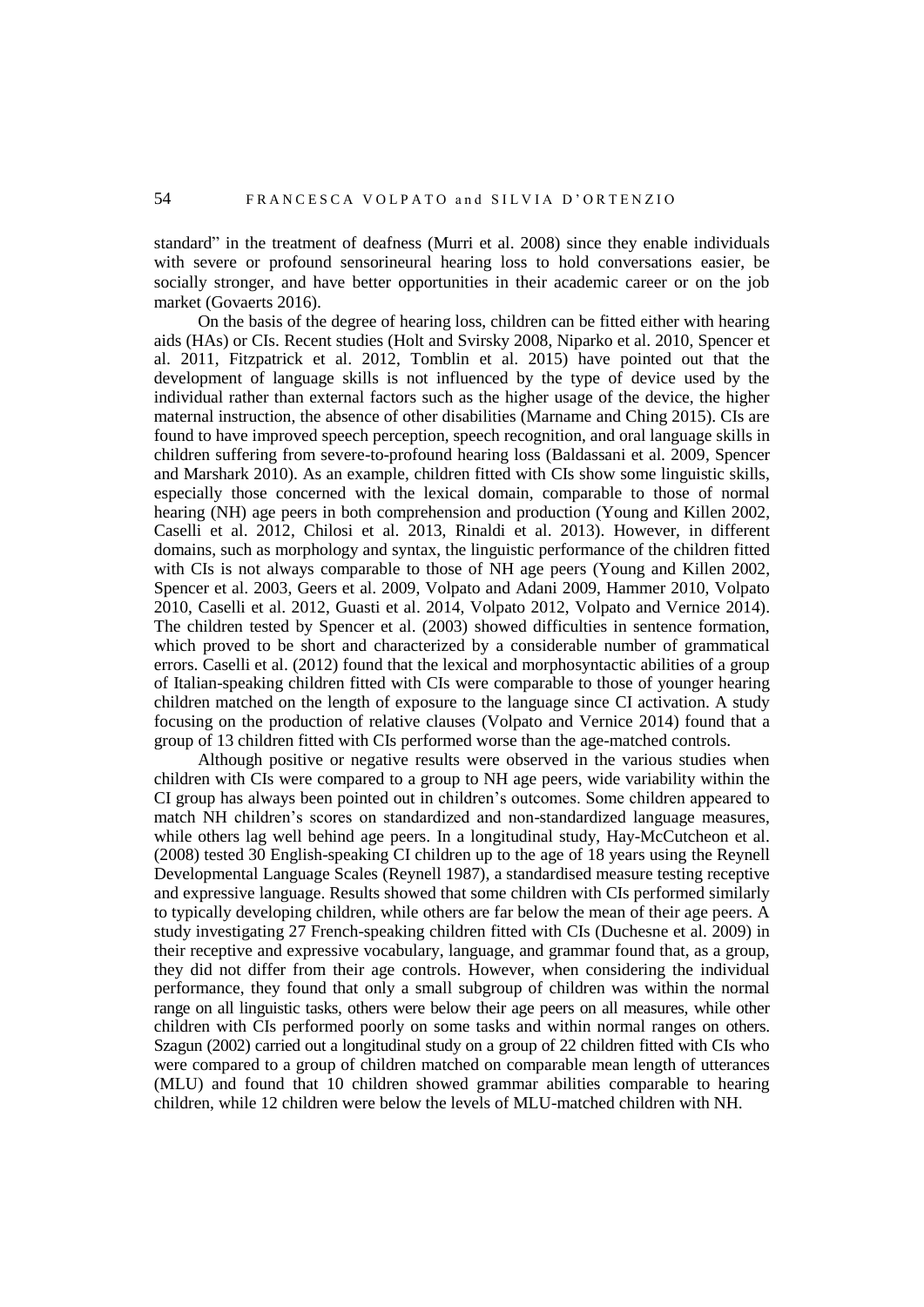standard" in the treatment of deafness (Murri et al. 2008) since they enable individuals with severe or profound sensorineural hearing loss to hold conversations easier, be socially stronger, and have better opportunities in their academic career or on the job market (Govaerts 2016).

On the basis of the degree of hearing loss, children can be fitted either with hearing aids (HAs) or CIs. Recent studies (Holt and Svirsky 2008, Niparko et al. 2010, Spencer et al. 2011, Fitzpatrick et al. 2012, Tomblin et al. 2015) have pointed out that the development of language skills is not influenced by the type of device used by the individual rather than external factors such as the higher usage of the device, the higher maternal instruction, the absence of other disabilities (Marname and Ching 2015). CIs are found to have improved speech perception, speech recognition, and oral language skills in children suffering from severe-to-profound hearing loss (Baldassani et al. 2009, Spencer and Marshark 2010). As an example, children fitted with CIs show some linguistic skills, especially those concerned with the lexical domain, comparable to those of normal hearing (NH) age peers in both comprehension and production (Young and Killen 2002, Caselli et al. 2012, Chilosi et al. 2013, Rinaldi et al. 2013). However, in different domains, such as morphology and syntax, the linguistic performance of the children fitted with CIs is not always comparable to those of NH age peers (Young and Killen 2002, Spencer et al. 2003, Geers et al. 2009, Volpato and Adani 2009, Hammer 2010, Volpato 2010, Caselli et al. 2012, Guasti et al. 2014, Volpato 2012, Volpato and Vernice 2014). The children tested by Spencer et al. (2003) showed difficulties in sentence formation, which proved to be short and characterized by a considerable number of grammatical errors. Caselli et al. (2012) found that the lexical and morphosyntactic abilities of a group of Italian-speaking children fitted with CIs were comparable to those of younger hearing children matched on the length of exposure to the language since CI activation. A study focusing on the production of relative clauses (Volpato and Vernice 2014) found that a group of 13 children fitted with CIs performed worse than the age-matched controls.

Although positive or negative results were observed in the various studies when children with CIs were compared to a group to NH age peers, wide variability within the CI group has always been pointed out in children's outcomes. Some children appeared to match NH children's scores on standardized and non-standardized language measures, while others lag well behind age peers. In a longitudinal study, Hay-McCutcheon et al. (2008) tested 30 English-speaking CI children up to the age of 18 years using the Reynell Developmental Language Scales (Reynell 1987), a standardised measure testing receptive and expressive language. Results showed that some children with CIs performed similarly to typically developing children, while others are far below the mean of their age peers. A study investigating 27 French-speaking children fitted with CIs (Duchesne et al. 2009) in their receptive and expressive vocabulary, language, and grammar found that, as a group, they did not differ from their age controls. However, when considering the individual performance, they found that only a small subgroup of children was within the normal range on all linguistic tasks, others were below their age peers on all measures, while other children with CIs performed poorly on some tasks and within normal ranges on others. Szagun (2002) carried out a longitudinal study on a group of 22 children fitted with CIs who were compared to a group of children matched on comparable mean length of utterances (MLU) and found that 10 children showed grammar abilities comparable to hearing children, while 12 children were below the levels of MLU-matched children with NH.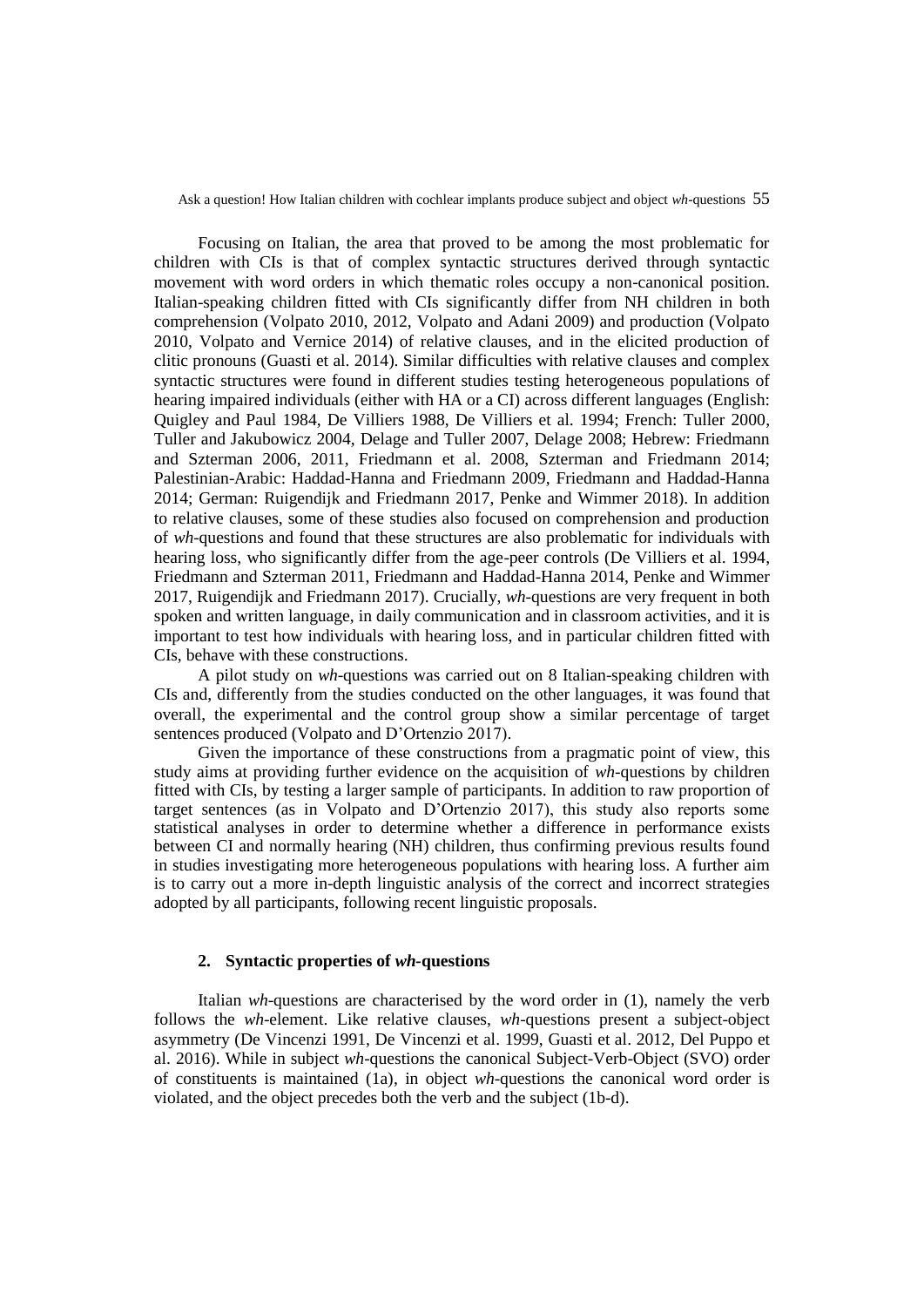Focusing on Italian, the area that proved to be among the most problematic for children with CIs is that of complex syntactic structures derived through syntactic movement with word orders in which thematic roles occupy a non-canonical position. Italian-speaking children fitted with CIs significantly differ from NH children in both comprehension (Volpato 2010, 2012, Volpato and Adani 2009) and production (Volpato 2010, Volpato and Vernice 2014) of relative clauses, and in the elicited production of clitic pronouns (Guasti et al. 2014). Similar difficulties with relative clauses and complex syntactic structures were found in different studies testing heterogeneous populations of hearing impaired individuals (either with HA or a CI) across different languages (English: Quigley and Paul 1984, De Villiers 1988, De Villiers et al. 1994; French: Tuller 2000, Tuller and Jakubowicz 2004, Delage and Tuller 2007, Delage 2008; Hebrew: Friedmann and Szterman 2006, 2011, Friedmann et al. 2008, Szterman and Friedmann 2014; Palestinian-Arabic: Haddad-Hanna and Friedmann 2009, Friedmann and Haddad-Hanna 2014; German: Ruigendijk and Friedmann 2017, Penke and Wimmer 2018). In addition to relative clauses, some of these studies also focused on comprehension and production of *wh*-questions and found that these structures are also problematic for individuals with hearing loss, who significantly differ from the age-peer controls (De Villiers et al. 1994, Friedmann and Szterman 2011, Friedmann and Haddad-Hanna 2014, Penke and Wimmer 2017, Ruigendijk and Friedmann 2017). Crucially, *wh-*questions are very frequent in both spoken and written language, in daily communication and in classroom activities, and it is important to test how individuals with hearing loss, and in particular children fitted with CIs, behave with these constructions.

A pilot study on *wh*-questions was carried out on 8 Italian-speaking children with CIs and, differently from the studies conducted on the other languages, it was found that overall, the experimental and the control group show a similar percentage of target sentences produced (Volpato and D'Ortenzio 2017).

Given the importance of these constructions from a pragmatic point of view, this study aims at providing further evidence on the acquisition of *wh-*questions by children fitted with CIs, by testing a larger sample of participants. In addition to raw proportion of target sentences (as in Volpato and D'Ortenzio 2017), this study also reports some statistical analyses in order to determine whether a difference in performance exists between CI and normally hearing (NH) children, thus confirming previous results found in studies investigating more heterogeneous populations with hearing loss. A further aim is to carry out a more in-depth linguistic analysis of the correct and incorrect strategies adopted by all participants, following recent linguistic proposals.

### **2. Syntactic properties of** *wh-***questions**

Italian *wh*-questions are characterised by the word order in (1), namely the verb follows the *wh*-element. Like relative clauses, *wh*-questions present a subject-object asymmetry (De Vincenzi 1991, De Vincenzi et al. 1999, Guasti et al. 2012, Del Puppo et al. 2016). While in subject *wh*-questions the canonical Subject-Verb-Object (SVO) order of constituents is maintained (1a), in object *wh*-questions the canonical word order is violated, and the object precedes both the verb and the subject (1b-d).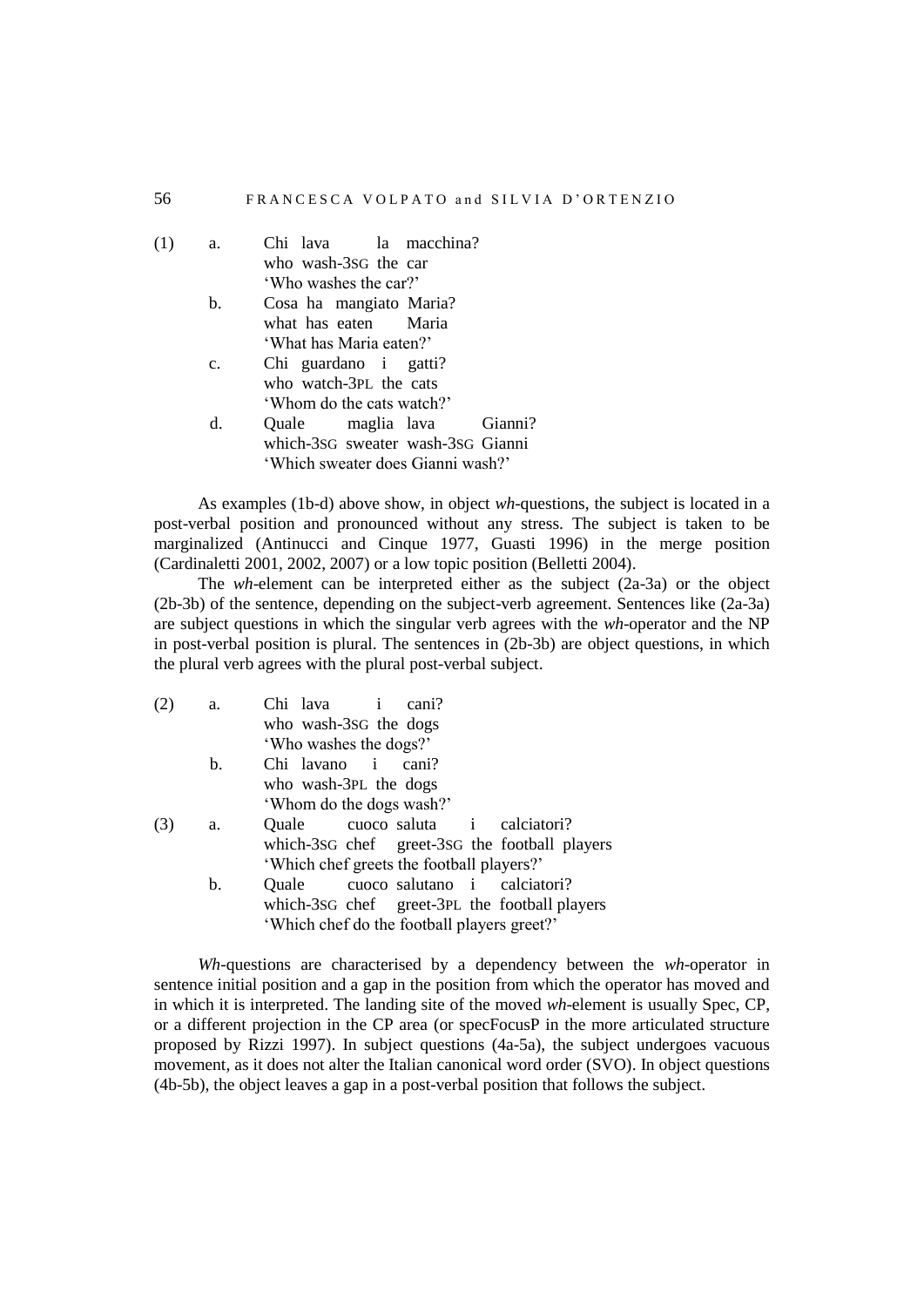| (1) | a.             | Chi lava la macchina?             |  |         |
|-----|----------------|-----------------------------------|--|---------|
|     |                | who wash-3sG the car              |  |         |
|     |                | 'Who washes the car?'             |  |         |
|     | b.             | Cosa ha mangiato Maria?           |  |         |
|     |                | what has eaten Maria              |  |         |
|     |                | 'What has Maria eaten?'           |  |         |
|     | $\mathbf{c}$ . | Chi guardano i gatti?             |  |         |
|     |                | who watch-3PL the cats            |  |         |
|     |                | 'Whom do the cats watch?'         |  |         |
|     | d.             | Quale maglia lava                 |  | Gianni? |
|     |                | which-3sG sweater wash-3sG Gianni |  |         |
|     |                | 'Which sweater does Gianni wash?' |  |         |

As examples (1b-d) above show, in object *wh*-questions, the subject is located in a post-verbal position and pronounced without any stress. The subject is taken to be marginalized (Antinucci and Cinque 1977, Guasti 1996) in the merge position (Cardinaletti 2001, 2002, 2007) or a low topic position (Belletti 2004).

The *wh*-element can be interpreted either as the subject (2a-3a) or the object (2b-3b) of the sentence, depending on the subject-verb agreement. Sentences like (2a-3a) are subject questions in which the singular verb agrees with the *wh*-operator and the NP in post-verbal position is plural. The sentences in (2b-3b) are object questions, in which the plural verb agrees with the plural post-verbal subject.

| (2) | a. | Chi lava i                                  | cani? |                                               |
|-----|----|---------------------------------------------|-------|-----------------------------------------------|
|     |    | who wash-3sG the dogs                       |       |                                               |
|     |    | 'Who washes the dogs?'                      |       |                                               |
|     | b. | Chi lavano i                                | cani? |                                               |
|     |    | who wash-3PL the dogs                       |       |                                               |
|     |    | 'Whom do the dogs wash?'                    |       |                                               |
| (3) | a. | Quale cuoco saluta i calciatori?            |       |                                               |
|     |    |                                             |       | which-3sG chef greet-3sG the football players |
|     |    | 'Which chef greets the football players?'   |       |                                               |
|     | b. | Quale                                       |       | cuoco salutano i calciatori?                  |
|     |    |                                             |       | which-3sG chef greet-3PL the football players |
|     |    | 'Which chef do the football players greet?' |       |                                               |

*Wh*-questions are characterised by a dependency between the *wh*-operator in sentence initial position and a gap in the position from which the operator has moved and in which it is interpreted. The landing site of the moved *wh*-element is usually Spec, CP, or a different projection in the CP area (or specFocusP in the more articulated structure proposed by Rizzi 1997). In subject questions (4a-5a), the subject undergoes vacuous movement, as it does not alter the Italian canonical word order (SVO). In object questions (4b-5b), the object leaves a gap in a post-verbal position that follows the subject.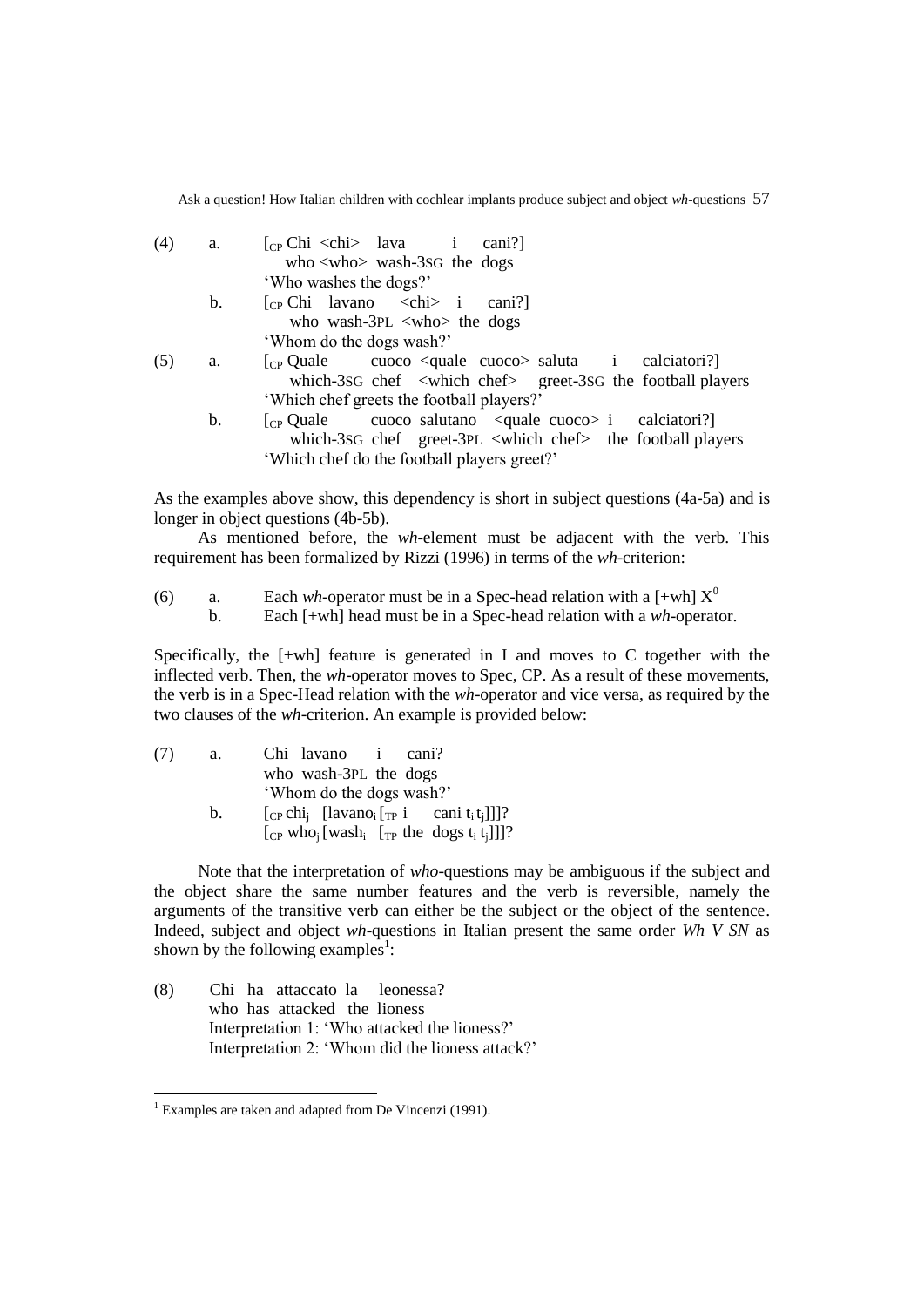| (4) | a.             | $\begin{bmatrix} \Gamma_{\rm CP} \end{bmatrix}$ Chi <chi cani?<="" i="" lava="" th=""></chi>                                                                                                                                                                                                                                                                                                                                                                                  |
|-----|----------------|-------------------------------------------------------------------------------------------------------------------------------------------------------------------------------------------------------------------------------------------------------------------------------------------------------------------------------------------------------------------------------------------------------------------------------------------------------------------------------|
|     |                | who $\langle$ who $\rangle$ wash-3sG the dogs                                                                                                                                                                                                                                                                                                                                                                                                                                 |
|     |                | 'Who washes the dogs?'                                                                                                                                                                                                                                                                                                                                                                                                                                                        |
|     | $\mathbf{b}$ . | $[CP Chi]$ lavano <chi> i cani?]</chi>                                                                                                                                                                                                                                                                                                                                                                                                                                        |
|     |                | who wash-3PL $\langle$ who $\rangle$ the dogs                                                                                                                                                                                                                                                                                                                                                                                                                                 |
|     |                | 'Whom do the dogs wash?'                                                                                                                                                                                                                                                                                                                                                                                                                                                      |
| (5) | a.             | $\begin{bmatrix} \n\text{Cp} \n\end{bmatrix}$ Quale cuoco $\text{Cquale} \n\begin{bmatrix} \text{cuoco} & \text{saluta} \n\end{bmatrix}$ alciatori?                                                                                                                                                                                                                                                                                                                           |
|     |                | which-3sG chef <which chef=""> greet-3sG the football players</which>                                                                                                                                                                                                                                                                                                                                                                                                         |
|     |                | 'Which chef greets the football players?'                                                                                                                                                                                                                                                                                                                                                                                                                                     |
|     | b.             | $\begin{bmatrix} \n\text{C}_P \text{ Quale} \\ \text{C}_P \text{ Quale} \\ \text{C}_P \text{Quale} \\ \text{C}_P \text{Quale} \\ \text{C}_P \text{Quale} \\ \text{C}_P \text{Quale} \\ \text{C}_P \text{Quale} \\ \text{C}_P \text{Quale} \\ \text{C}_P \text{Quale} \\ \text{C}_P \text{Quale} \\ \text{C}_P \text{Quale} \\ \text{C}_P \text{Quale} \\ \text{C}_P \text{Quale} \\ \text{C}_P \text{Quale} \\ \text{C}_P \text{Quale} \\ \text{C}_P \text{Quale} \\ \text{C$ |
|     |                | which-3sG chef greet-3PL <which chef=""> the football players</which>                                                                                                                                                                                                                                                                                                                                                                                                         |
|     |                | 'Which chef do the football players greet?'                                                                                                                                                                                                                                                                                                                                                                                                                                   |
|     |                |                                                                                                                                                                                                                                                                                                                                                                                                                                                                               |

As the examples above show, this dependency is short in subject questions (4a-5a) and is longer in object questions (4b-5b).

As mentioned before, the *wh*-element must be adjacent with the verb. This requirement has been formalized by Rizzi (1996) in terms of the *wh*-criterion:

(6) a. Each *wh*-operator must be in a Spec-head relation with a  $\lceil +wh \rceil X^0$ 

b. Each [+wh] head must be in a Spec-head relation with a *wh*-operator.

Specifically, the [+wh] feature is generated in I and moves to C together with the inflected verb. Then, the *wh*-operator moves to Spec, CP. As a result of these movements, the verb is in a Spec-Head relation with the *wh*-operator and vice versa, as required by the two clauses of the *wh*-criterion. An example is provided below:

| (7) | a.             | Chi lavano i cani?                                                                           |
|-----|----------------|----------------------------------------------------------------------------------------------|
|     |                | who wash-3PL the dogs                                                                        |
|     |                | 'Whom do the dogs wash?'                                                                     |
|     | $\mathbf{b}$ . | $[c_Pchi_i$ [lavano <sub>i</sub> $[r_P i \text{ cani } t_i t_i]]$ ]?                         |
|     |                | $[CP$ who <sub>i</sub> [wash <sub>i</sub> $[T_P$ the dogs t <sub>i</sub> t <sub>i</sub> ]]]? |

Note that the interpretation of *who*-questions may be ambiguous if the subject and the object share the same number features and the verb is reversible, namely the arguments of the transitive verb can either be the subject or the object of the sentence. Indeed, subject and object *wh*-questions in Italian present the same order *Wh V SN* as shown by the following examples<sup>1</sup>:

(8) Chi ha attaccato la leonessa? who has attacked the lioness Interpretation 1: 'Who attacked the lioness?' Interpretation 2: 'Whom did the lioness attack?'

 $\overline{a}$ 

<sup>&</sup>lt;sup>1</sup> Examples are taken and adapted from De Vincenzi (1991).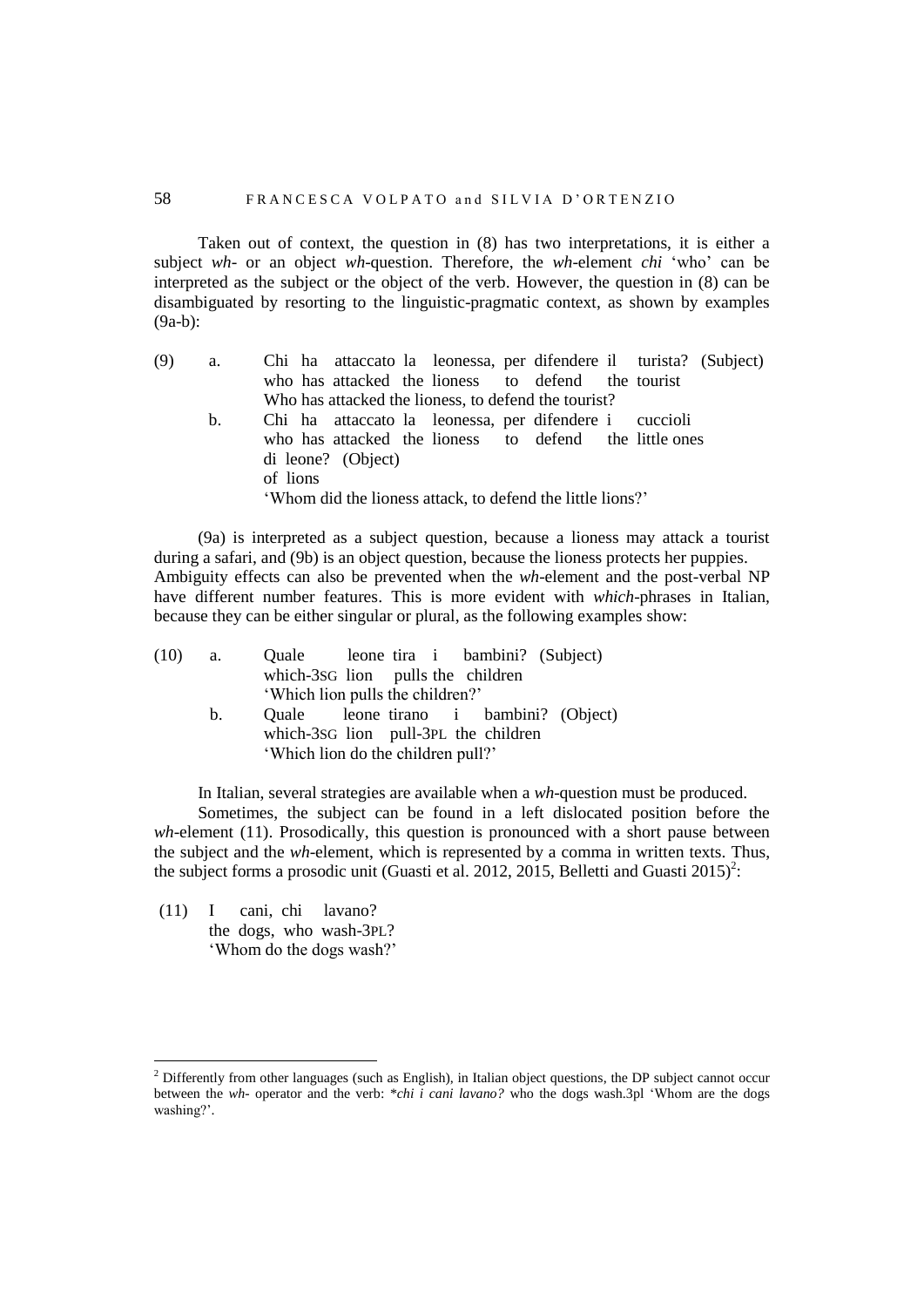Taken out of context, the question in (8) has two interpretations, it is either a subject *wh*- or an object *wh*-question. Therefore, the *wh*-element *chi* 'who' can be interpreted as the subject or the object of the verb. However, the question in (8) can be disambiguated by resorting to the linguistic-pragmatic context, as shown by examples (9a-b):

| (9) | a. | Chi ha attaccato la leonessa, per difendere il turista? (Subject)                                                                                      |
|-----|----|--------------------------------------------------------------------------------------------------------------------------------------------------------|
|     |    | who has attacked the lioness to defend the tourist                                                                                                     |
|     |    | Who has attacked the lioness, to defend the tourist?                                                                                                   |
|     | b. | Chi ha attaccato la leonessa, per difendere i cuccioli                                                                                                 |
|     |    | who has attacked the lioness to defend the little ones<br>di leone? (Object)<br>of lions<br>'Whom did the lioness attack, to defend the little lions?' |

(9a) is interpreted as a subject question, because a lioness may attack a tourist during a safari, and (9b) is an object question, because the lioness protects her puppies. Ambiguity effects can also be prevented when the *wh*-element and the post-verbal NP have different number features. This is more evident with *which*-phrases in Italian, because they can be either singular or plural, as the following examples show:

| (10) | <b>a.</b> | Quale leone tira i bambini? (Subject)  |  |  |  |
|------|-----------|----------------------------------------|--|--|--|
|      |           | which-3sG lion pulls the children      |  |  |  |
|      |           | 'Which lion pulls the children?'       |  |  |  |
|      | b.        | Quale leone tirano i bambini? (Object) |  |  |  |
|      |           | which-3sG lion pull-3PL the children   |  |  |  |
|      |           | 'Which lion do the children pull?'     |  |  |  |
|      |           |                                        |  |  |  |

In Italian, several strategies are available when a *wh*-question must be produced. Sometimes, the subject can be found in a left dislocated position before the *wh*-element (11). Prosodically, this question is pronounced with a short pause between the subject and the *wh*-element, which is represented by a comma in written texts. Thus, the subject forms a prosodic unit (Guasti et al. 2012, 2015, Belletti and Guasti 2015)<sup>2</sup>:

(11) I cani, chi lavano? the dogs, who wash-3PL? 'Whom do the dogs wash?'

 $\overline{a}$ 

<sup>&</sup>lt;sup>2</sup> Differently from other languages (such as English), in Italian object questions, the DP subject cannot occur between the *wh*- operator and the verb: \**chi i cani lavano?* who the dogs wash.3pl 'Whom are the dogs washing?'.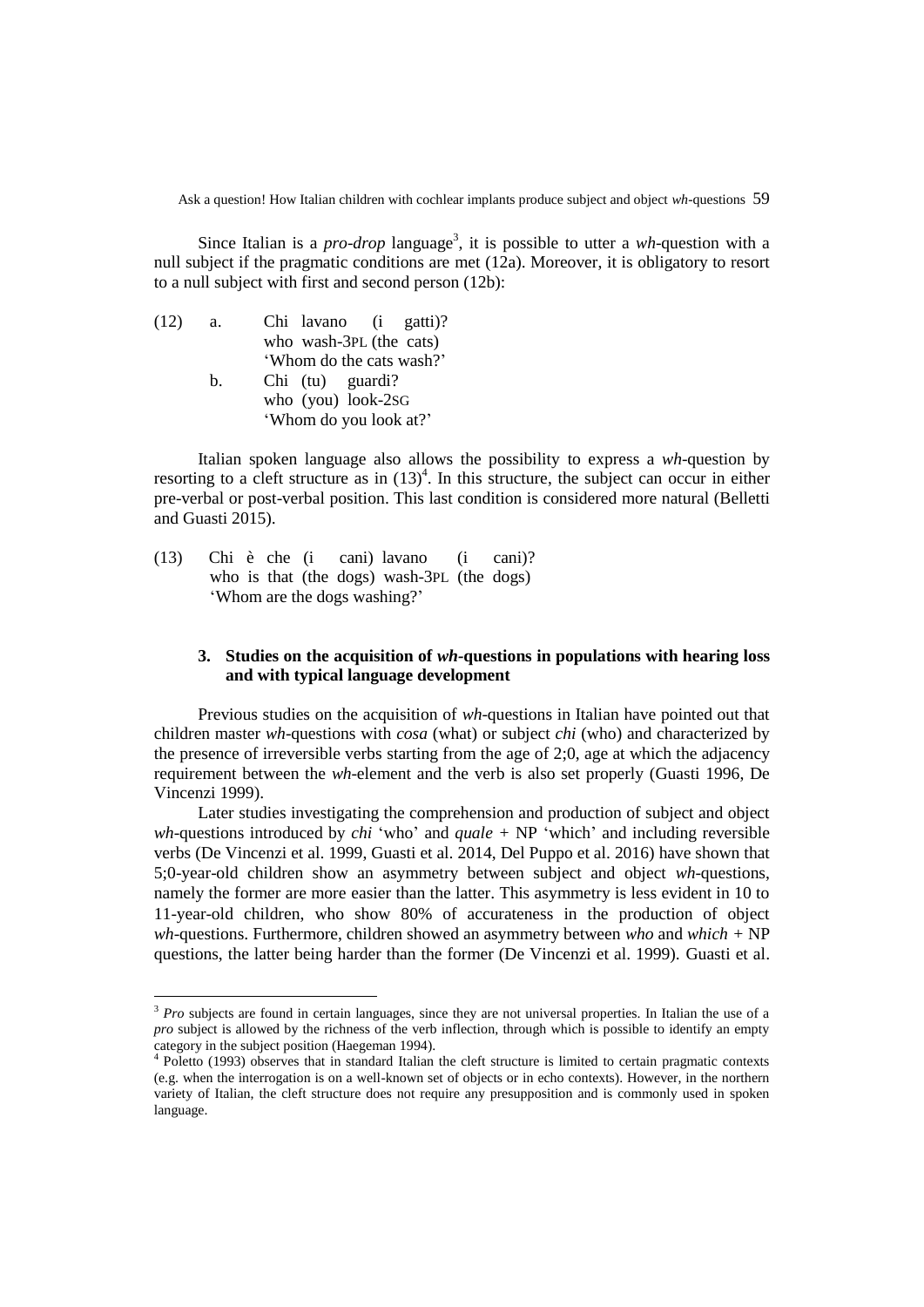Since Italian is a *pro-drop* language<sup>3</sup>, it is possible to utter a *wh*-question with a null subject if the pragmatic conditions are met (12a). Moreover, it is obligatory to resort to a null subject with first and second person (12b):

| (12) | а.          | Chi lavano (i gatti)?    |
|------|-------------|--------------------------|
|      |             | who wash-3PL (the cats)  |
|      |             | 'Whom do the cats wash?' |
|      | $h_{\cdot}$ | Chi (tu) guardi?         |
|      |             | who (you) look-2sG       |
|      |             | 'Whom do you look at?'   |

Italian spoken language also allows the possibility to express a *wh*-question by resorting to a cleft structure as in  $(13)^4$ . In this structure, the subject can occur in either pre-verbal or post-verbal position. This last condition is considered more natural (Belletti and Guasti 2015).

(13) Chi è che (i cani) lavano (i cani)? who is that (the dogs) wash-3PL (the dogs) 'Whom are the dogs washing?'

 $\overline{a}$ 

### **3. Studies on the acquisition of** *wh-***questions in populations with hearing loss and with typical language development**

Previous studies on the acquisition of *wh*-questions in Italian have pointed out that children master *wh*-questions with *cosa* (what) or subject *chi* (who) and characterized by the presence of irreversible verbs starting from the age of 2;0, age at which the adjacency requirement between the *wh*-element and the verb is also set properly (Guasti 1996, De Vincenzi 1999).

Later studies investigating the comprehension and production of subject and object *wh*-questions introduced by *chi* 'who' and *quale +* NP 'which' and including reversible verbs (De Vincenzi et al. 1999, Guasti et al. 2014, Del Puppo et al. 2016) have shown that 5;0-year-old children show an asymmetry between subject and object *wh*-questions, namely the former are more easier than the latter. This asymmetry is less evident in 10 to 11-year-old children, who show 80% of accurateness in the production of object *wh*-questions. Furthermore, children showed an asymmetry between *who* and *which +* NP questions, the latter being harder than the former (De Vincenzi et al. 1999). Guasti et al.

<sup>&</sup>lt;sup>3</sup> *Pro* subjects are found in certain languages, since they are not universal properties. In Italian the use of a *pro* subject is allowed by the richness of the verb inflection, through which is possible to identify an empty category in the subject position (Haegeman 1994).

<sup>&</sup>lt;sup>4</sup> Poletto (1993) observes that in standard Italian the cleft structure is limited to certain pragmatic contexts (e.g. when the interrogation is on a well-known set of objects or in echo contexts). However, in the northern variety of Italian, the cleft structure does not require any presupposition and is commonly used in spoken language.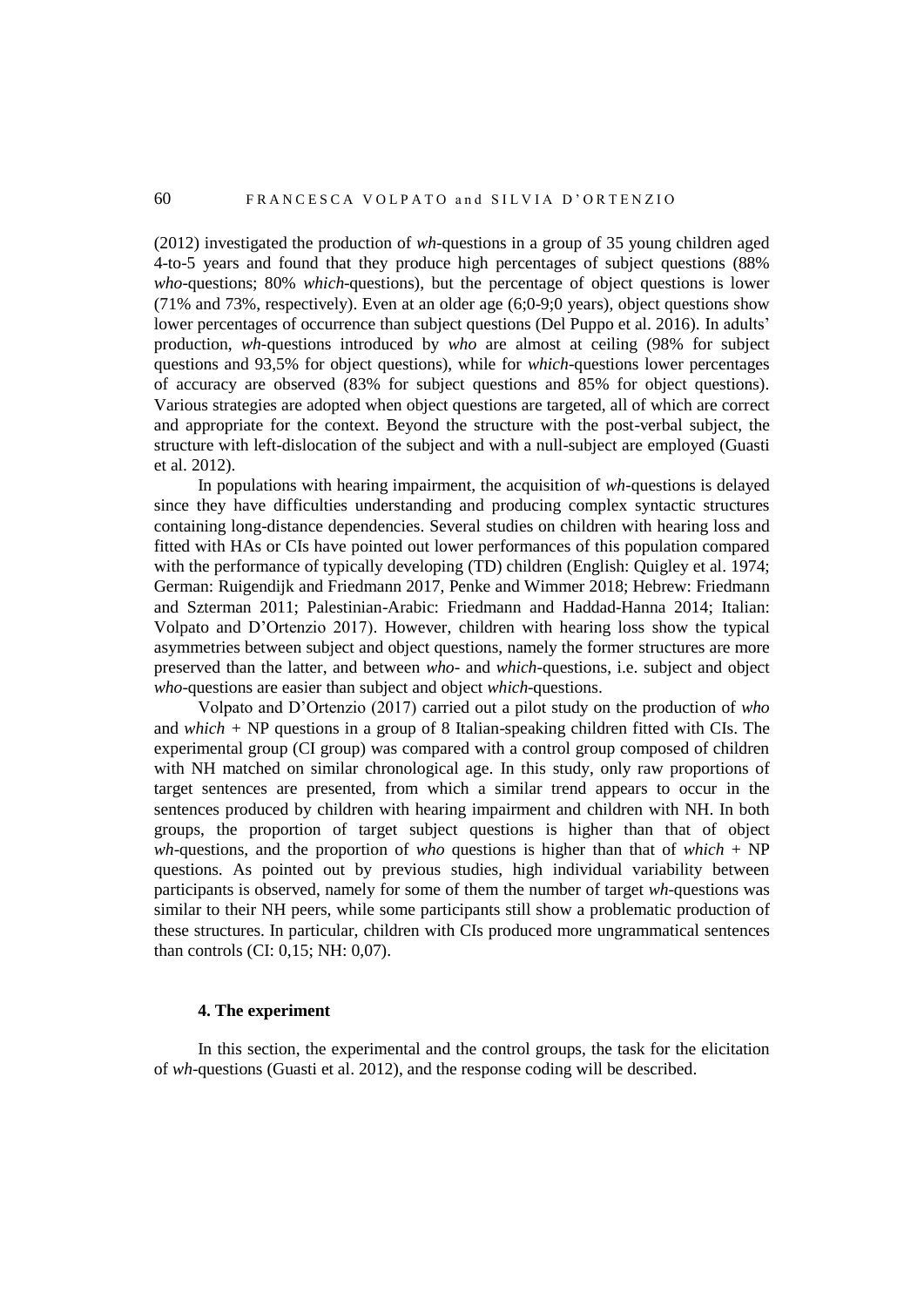(2012) investigated the production of *wh-*questions in a group of 35 young children aged 4-to-5 years and found that they produce high percentages of subject questions (88% *who*-questions; 80% *which*-questions), but the percentage of object questions is lower (71% and 73%, respectively). Even at an older age (6;0-9;0 years), object questions show lower percentages of occurrence than subject questions (Del Puppo et al. 2016). In adults' production, *wh-*questions introduced by *who* are almost at ceiling (98% for subject questions and 93,5% for object questions), while for *which-*questions lower percentages of accuracy are observed (83% for subject questions and 85% for object questions). Various strategies are adopted when object questions are targeted, all of which are correct and appropriate for the context. Beyond the structure with the post-verbal subject, the structure with left-dislocation of the subject and with a null-subject are employed (Guasti et al. 2012).

In populations with hearing impairment, the acquisition of *wh-*questions is delayed since they have difficulties understanding and producing complex syntactic structures containing long-distance dependencies. Several studies on children with hearing loss and fitted with HAs or CIs have pointed out lower performances of this population compared with the performance of typically developing (TD) children (English: Quigley et al. 1974; German: Ruigendijk and Friedmann 2017, Penke and Wimmer 2018; Hebrew: Friedmann and Szterman 2011; Palestinian-Arabic: Friedmann and Haddad-Hanna 2014; Italian: Volpato and D'Ortenzio 2017). However, children with hearing loss show the typical asymmetries between subject and object questions, namely the former structures are more preserved than the latter, and between *who-* and *which-*questions, i.e. subject and object *who*-questions are easier than subject and object *which*-questions.

Volpato and D'Ortenzio (2017) carried out a pilot study on the production of *who* and *which +* NP questions in a group of 8 Italian-speaking children fitted with CIs. The experimental group (CI group) was compared with a control group composed of children with NH matched on similar chronological age. In this study, only raw proportions of target sentences are presented, from which a similar trend appears to occur in the sentences produced by children with hearing impairment and children with NH. In both groups, the proportion of target subject questions is higher than that of object *wh*-questions, and the proportion of *who* questions is higher than that of *which* + NP questions. As pointed out by previous studies, high individual variability between participants is observed, namely for some of them the number of target *wh*-questions was similar to their NH peers, while some participants still show a problematic production of these structures. In particular, children with CIs produced more ungrammatical sentences than controls (CI: 0,15; NH: 0,07).

### **4. The experiment**

In this section, the experimental and the control groups, the task for the elicitation of *wh*-questions (Guasti et al. 2012), and the response coding will be described.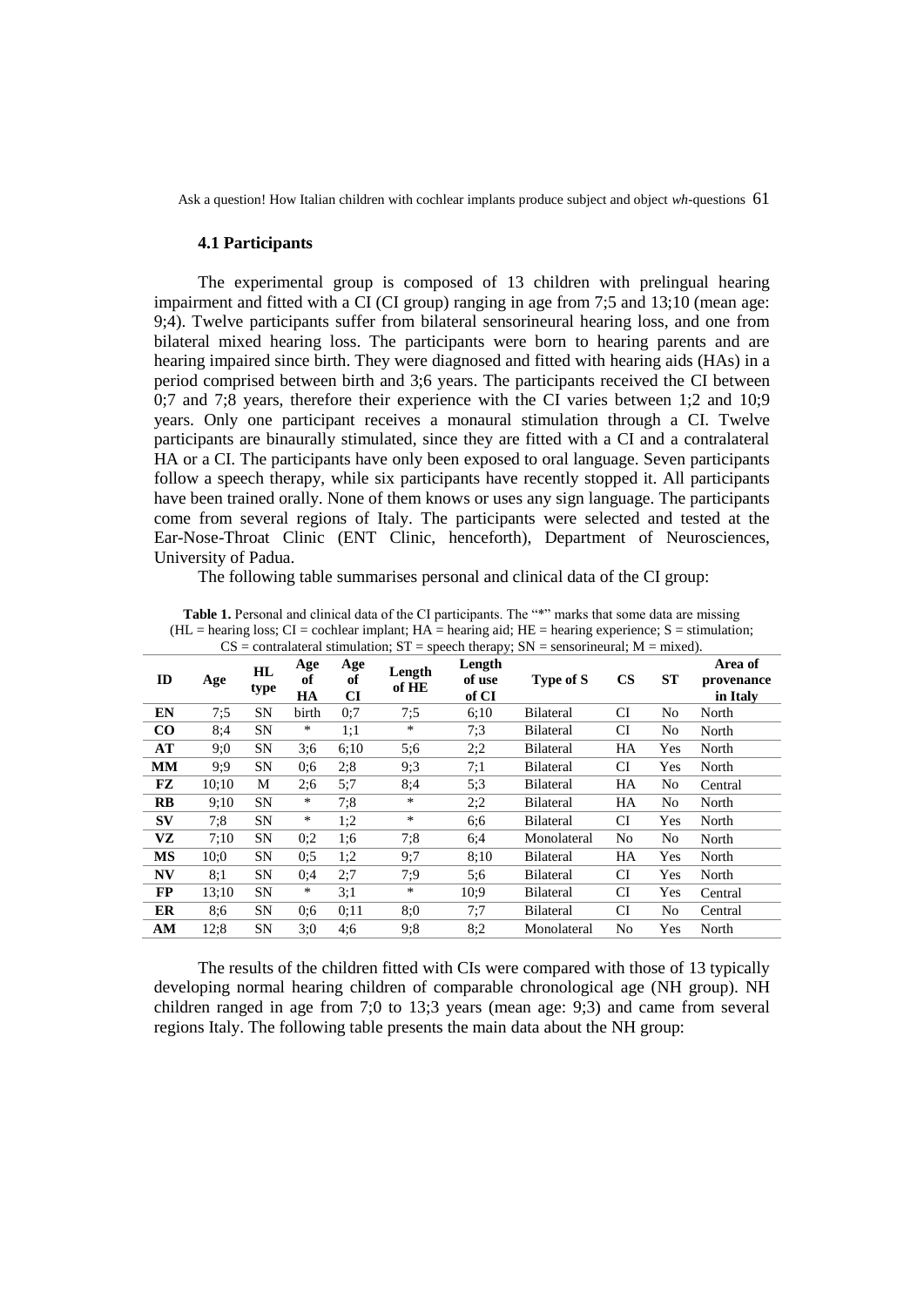#### **4.1 Participants**

The experimental group is composed of 13 children with prelingual hearing impairment and fitted with a CI (CI group) ranging in age from 7;5 and 13;10 (mean age: 9;4). Twelve participants suffer from bilateral sensorineural hearing loss, and one from bilateral mixed hearing loss. The participants were born to hearing parents and are hearing impaired since birth. They were diagnosed and fitted with hearing aids (HAs) in a period comprised between birth and 3;6 years. The participants received the CI between 0;7 and 7;8 years, therefore their experience with the CI varies between 1;2 and 10;9 years. Only one participant receives a monaural stimulation through a CI. Twelve participants are binaurally stimulated, since they are fitted with a CI and a contralateral HA or a CI. The participants have only been exposed to oral language. Seven participants follow a speech therapy, while six participants have recently stopped it. All participants have been trained orally. None of them knows or uses any sign language. The participants come from several regions of Italy. The participants were selected and tested at the Ear-Nose-Throat Clinic (ENT Clinic, henceforth), Department of Neurosciences, University of Padua.

The following table summarises personal and clinical data of the CI group:

|              | $CS =$ contralateral stimulation; $ST =$ speech therapy; $SN =$ sensorineural; $M =$ mixed). |            |                 |                 |                 |                           |                  |                |                |                                   |
|--------------|----------------------------------------------------------------------------------------------|------------|-----------------|-----------------|-----------------|---------------------------|------------------|----------------|----------------|-----------------------------------|
| ID           | Age                                                                                          | HL<br>type | Age<br>of<br>HA | Age<br>of<br>CI | Length<br>of HE | Length<br>of use<br>of CI | Type of S        | $\mathbf{CS}$  | ST             | Area of<br>provenance<br>in Italy |
| EN           | 7:5                                                                                          | SΝ         | birth           | 0:7             | 7:5             | 6:10                      | <b>Bilateral</b> | CI             | No             | North                             |
| $\bf CO$     | 8:4                                                                                          | SΝ         | *               | 1:1             | $\ast$          | 7:3                       | <b>Bilateral</b> | CI             | No             | North                             |
| AT           | 9:0                                                                                          | <b>SN</b>  | 3:6             | 6:10            | 5;6             | 2:2                       | <b>Bilateral</b> | HA             | Yes            | North                             |
| <b>MM</b>    | 9:9                                                                                          | SΝ         | 0:6             | 2:8             | 9:3             | 7:1                       | <b>Bilateral</b> | CI             | Yes            | North                             |
| FZ           | 10:10                                                                                        | М          | 2:6             | 5:7             | 8:4             | 5:3                       | <b>Bilateral</b> | HA             | No             | Central                           |
| $\mathbf{R}$ | 9:10                                                                                         | <b>SN</b>  | *               | 7:8             | $\ast$          | 2:2                       | <b>Bilateral</b> | HA             | No             | North                             |
| SV           | 7:8                                                                                          | SN         | $\ast$          | 1:2             | $\ast$          | 6:6                       | <b>Bilateral</b> | CI             | Yes            | North                             |
| VZ           | 7:10                                                                                         | SΝ         | 0:2             | 1:6             | 7:8             | 6:4                       | Monolateral      | N <sub>0</sub> | N <sub>0</sub> | North                             |
| <b>MS</b>    | 10:0                                                                                         | SΝ         | 0:5             | 1:2             | 9:7             | 8:10                      | <b>Bilateral</b> | HA             | Yes            | North                             |
| <b>NV</b>    | 8:1                                                                                          | <b>SN</b>  | 0:4             | 2:7             | 7:9             | 5:6                       | <b>Bilateral</b> | CI             | Yes            | North                             |
| <b>FP</b>    | 13:10                                                                                        | <b>SN</b>  | $\ast$          | 3:1             | $\ast$          | 10:9                      | Bilateral        | <b>CI</b>      | Yes            | Central                           |
| ER           | 8:6                                                                                          | SΝ         | 0:6             | 0:11            | 8:0             | 7:7                       | <b>Bilateral</b> | CI             | N <sub>0</sub> | Central                           |
| AM           | 12:8                                                                                         | <b>SN</b>  | 3:0             | 4:6             | 9:8             | 8:2                       | Monolateral      | No             | Yes            | North                             |

**Table 1.** Personal and clinical data of the CI participants. The "\*" marks that some data are missing  $(HL = \text{hearing loss}; CI = \text{cochlear implant}; HA = \text{hearing aid}; HE = \text{hearing experience}; S = \text{stimulation};$ 

The results of the children fitted with CIs were compared with those of 13 typically developing normal hearing children of comparable chronological age (NH group). NH children ranged in age from 7;0 to 13;3 years (mean age: 9;3) and came from several regions Italy. The following table presents the main data about the NH group: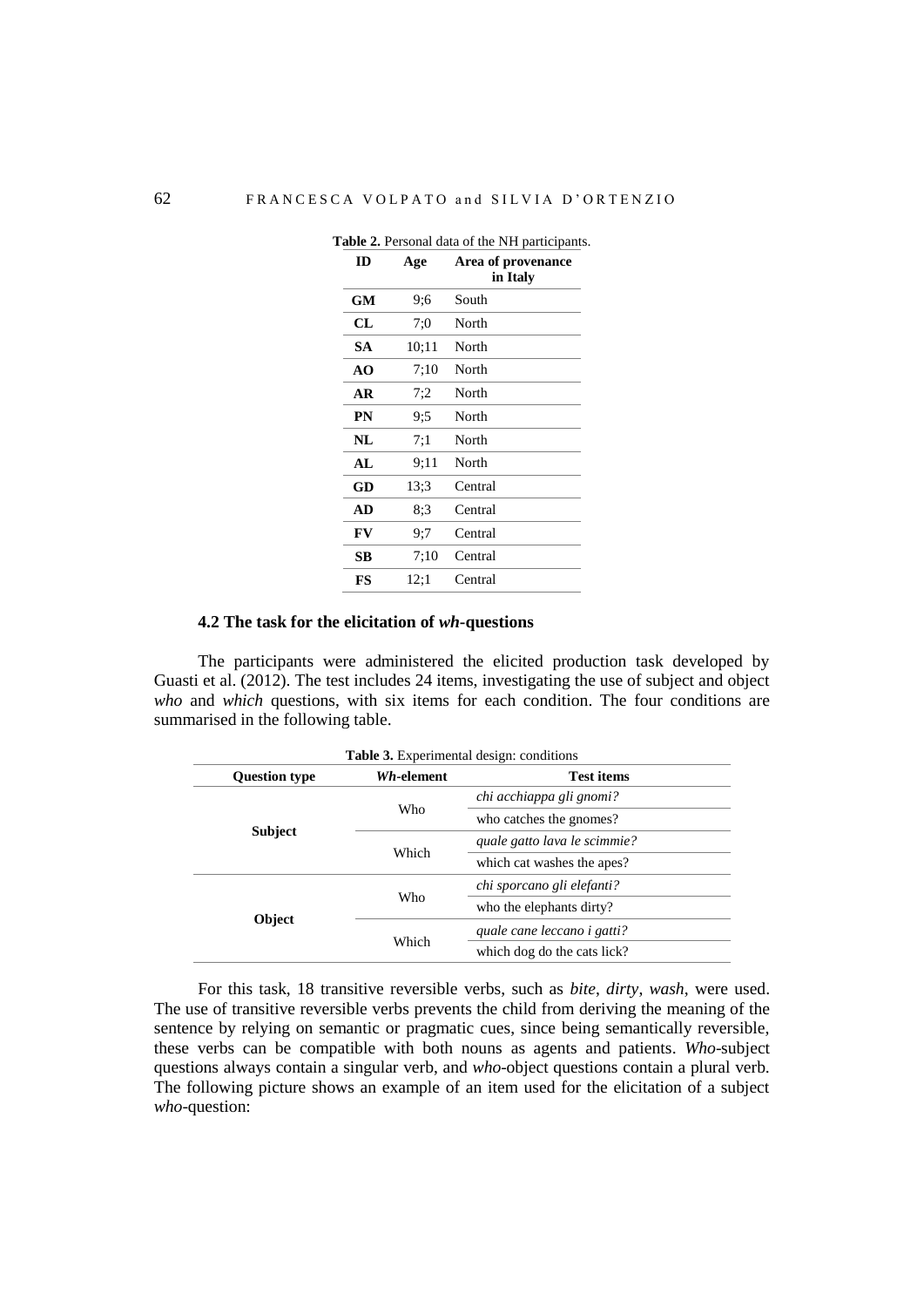| ID        | Age   | Area of provenance<br>in Italy |
|-----------|-------|--------------------------------|
| GM        | 9;6   | South                          |
| CL        | 7:0   | North                          |
| SА        | 10;11 | North                          |
| AΟ        | 7:10  | North                          |
| AR        | 7:2   | North                          |
| PN        | 9:5   | North                          |
| NL        | 7:1   | North                          |
| AI.       | 9:11  | North                          |
| GD        | 13;3  | Central                        |
| <b>AD</b> | 8:3   | Central                        |
| FV        | 9;7   | Central                        |
| SВ        | 7:10  | Central                        |
| FS        | 12:1  | Central                        |

**Table 2.** Personal data of the NH participants.

## **4.2 The task for the elicitation of** *wh***-questions**

The participants were administered the elicited production task developed by Guasti et al. (2012). The test includes 24 items, investigating the use of subject and object *who* and *which* questions, with six items for each condition. The four conditions are summarised in the following table.

| <b>Table 3.</b> Experimental design: conditions |            |                              |  |  |  |
|-------------------------------------------------|------------|------------------------------|--|--|--|
| <b>Question type</b>                            | Wh-element | Test items                   |  |  |  |
|                                                 |            | chi acchiappa gli gnomi?     |  |  |  |
|                                                 | Who        | who catches the gnomes?      |  |  |  |
| <b>Subject</b>                                  |            | quale gatto lava le scimmie? |  |  |  |
|                                                 | Which      | which cat washes the apes?   |  |  |  |
|                                                 |            | chi sporcano gli elefanti?   |  |  |  |
|                                                 | Who        | who the elephants dirty?     |  |  |  |
| Object                                          |            | quale cane leccano i gatti?  |  |  |  |
|                                                 | Which      | which dog do the cats lick?  |  |  |  |

For this task, 18 transitive reversible verbs, such as *bite*, *dirty*, *wash*, were used. The use of transitive reversible verbs prevents the child from deriving the meaning of the sentence by relying on semantic or pragmatic cues, since being semantically reversible, these verbs can be compatible with both nouns as agents and patients. *Who*-subject questions always contain a singular verb, and *who*-object questions contain a plural verb. The following picture shows an example of an item used for the elicitation of a subject *who*-question: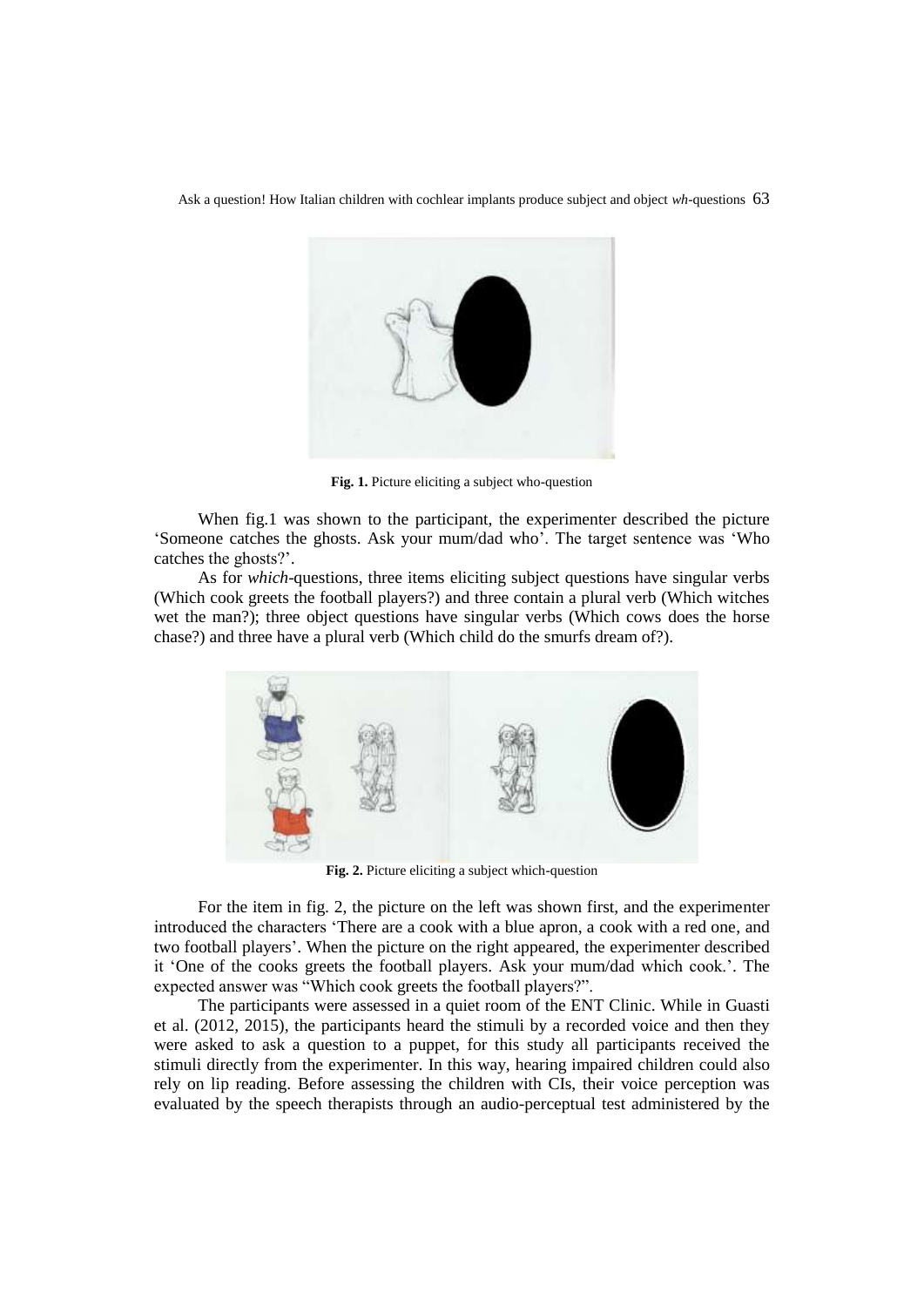

**Fig. 1.** Picture eliciting a subject who-question

When fig.1 was shown to the participant, the experimenter described the picture 'Someone catches the ghosts. Ask your mum/dad who'. The target sentence was 'Who catches the ghosts?'.

As for *which*-questions, three items eliciting subject questions have singular verbs (Which cook greets the football players?) and three contain a plural verb (Which witches wet the man?); three object questions have singular verbs (Which cows does the horse chase?) and three have a plural verb (Which child do the smurfs dream of?).



**Fig. 2.** Picture eliciting a subject which-question

For the item in fig. 2, the picture on the left was shown first, and the experimenter introduced the characters 'There are a cook with a blue apron, a cook with a red one, and two football players'. When the picture on the right appeared, the experimenter described it 'One of the cooks greets the football players. Ask your mum/dad which cook.'. The expected answer was "Which cook greets the football players?".

The participants were assessed in a quiet room of the ENT Clinic. While in Guasti et al. (2012, 2015), the participants heard the stimuli by a recorded voice and then they were asked to ask a question to a puppet, for this study all participants received the stimuli directly from the experimenter. In this way, hearing impaired children could also rely on lip reading. Before assessing the children with CIs, their voice perception was evaluated by the speech therapists through an audio-perceptual test administered by the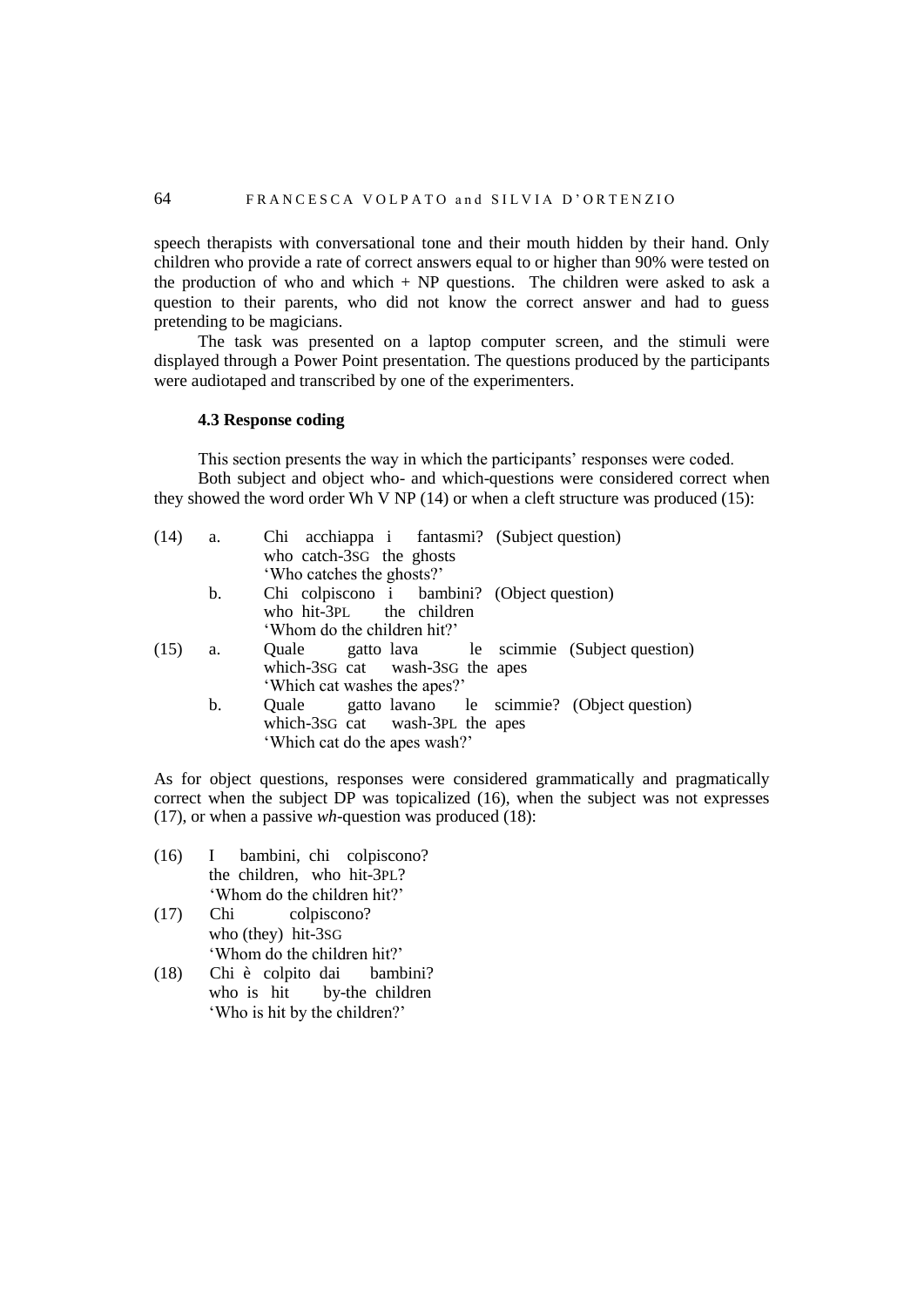speech therapists with conversational tone and their mouth hidden by their hand. Only children who provide a rate of correct answers equal to or higher than 90% were tested on the production of who and which  $+ NP$  questions. The children were asked to ask a question to their parents, who did not know the correct answer and had to guess pretending to be magicians.

The task was presented on a laptop computer screen, and the stimuli were displayed through a Power Point presentation. The questions produced by the participants were audiotaped and transcribed by one of the experimenters.

#### **4.3 Response coding**

This section presents the way in which the participants' responses were coded. Both subject and object who- and which-questions were considered correct when they showed the word order Wh V NP (14) or when a cleft structure was produced (15):

| (14) | a. | Chi acchiappa i fantasmi? (Subject question)     |
|------|----|--------------------------------------------------|
|      |    | who catch-3sG the ghosts                         |
|      |    | 'Who catches the ghosts?'                        |
|      | b. | Chi colpiscono i bambini? (Object question)      |
|      |    | who hit-3PL the children                         |
|      |    | 'Whom do the children hit?'                      |
| (15) | a. | Quale gatto lava le scimmie (Subject question)   |
|      |    | which-3sG cat wash-3sG the apes                  |
|      |    | 'Which cat washes the apes?'                     |
|      | b. | Quale gatto lavano le scimmie? (Object question) |
|      |    | which-3sG cat wash-3PL the apes                  |
|      |    | 'Which cat do the apes wash?'                    |
|      |    |                                                  |

As for object questions, responses were considered grammatically and pragmatically correct when the subject  $DP$  was topicalized (16), when the subject was not expresses (17), or when a passive *wh*-question was produced (18):

- (16) I bambini, chi colpiscono? the children, who hit-3PL? 'Whom do the children hit?'
- (17) Chi colpiscono? who (they) hit-3SG 'Whom do the children hit?'
- (18) Chi è colpito dai bambini? who is hit by-the children 'Who is hit by the children?'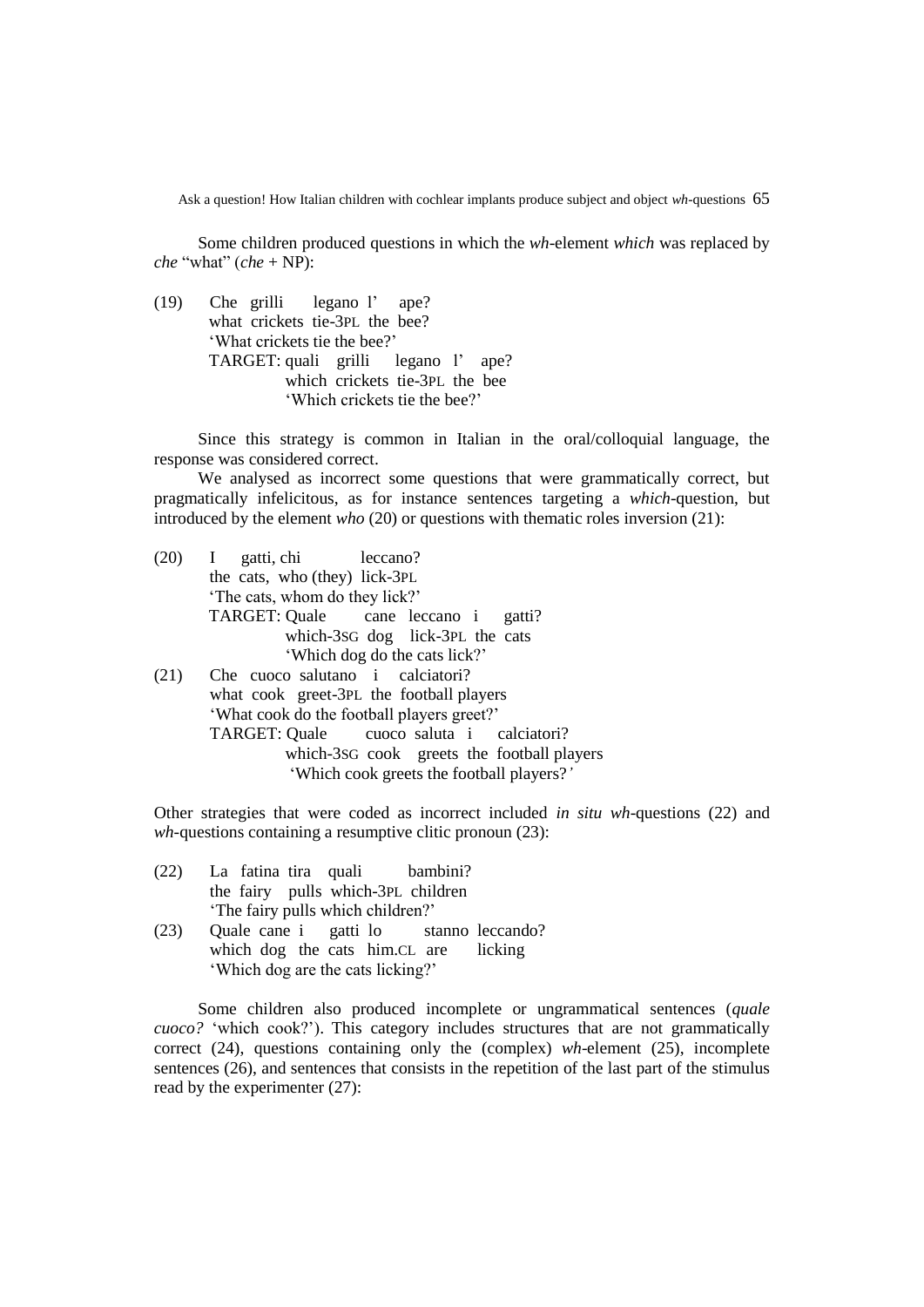Some children produced questions in which the *wh*-element *which* was replaced by *che* "what" (*che* + NP):

(19) Che grilli legano l' ape? what crickets tie-3PL the bee? 'What crickets tie the bee?' TARGET: quali grilli legano l' ape? which crickets tie-3PL the bee 'Which crickets tie the bee?'

Since this strategy is common in Italian in the oral/colloquial language, the response was considered correct.

We analysed as incorrect some questions that were grammatically correct, but pragmatically infelicitous, as for instance sentences targeting a *which*-question, but introduced by the element *who* (20) or questions with thematic roles inversion (21):

(20) I gatti, chi leccano? the cats, who (they) lick-3PL 'The cats, whom do they lick?' TARGET: Quale cane leccano i gatti? which-3SG dog lick-3PL the cats 'Which dog do the cats lick?' (21) Che cuoco salutano i calciatori? what cook greet-3PL the football players 'What cook do the football players greet?' TARGET: Quale cuoco saluta i calciatori? which-3SG cook greets the football players 'Which cook greets the football players?*'*

Other strategies that were coded as incorrect included *in situ wh*-questions (22) and *wh-*questions containing a resumptive clitic pronoun (23):

- (22) La fatina tira quali bambini? the fairy pulls which-3PL children 'The fairy pulls which children?'
- (23) Quale cane i gatti lo stanno leccando? which dog the cats him.CL are licking 'Which dog are the cats licking?'

Some children also produced incomplete or ungrammatical sentences (*quale cuoco?* 'which cook?'). This category includes structures that are not grammatically correct (24), questions containing only the (complex) *wh*-element (25), incomplete sentences (26), and sentences that consists in the repetition of the last part of the stimulus read by the experimenter (27):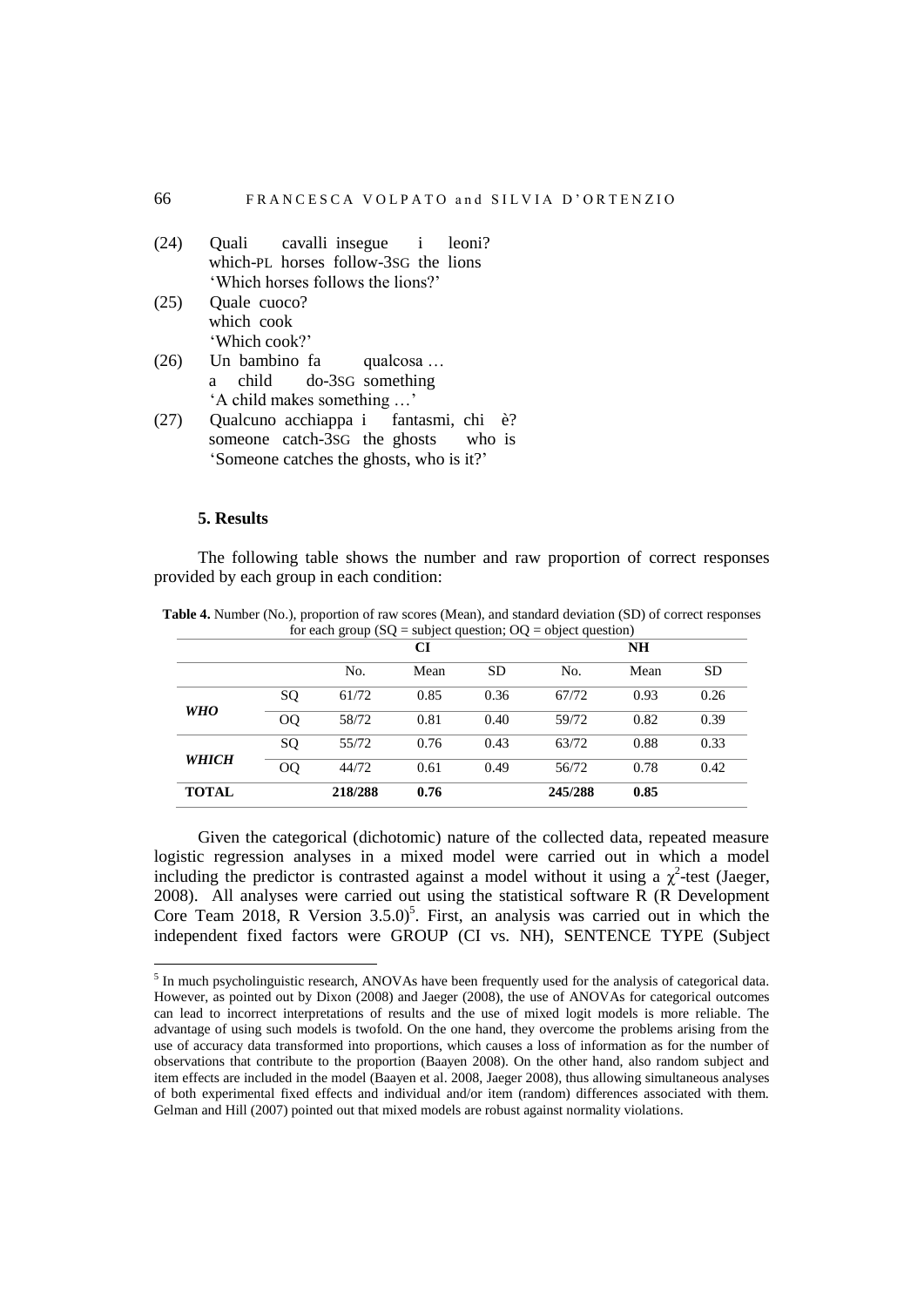| (24) | Quali cavalli insegue i leoni?                     |  |
|------|----------------------------------------------------|--|
|      | which-PL horses follow-3sG the lions               |  |
|      | 'Which horses follows the lions?'                  |  |
|      | $(25)$ Quale cuoco?                                |  |
|      | which cook                                         |  |
|      | 'Which cook?'                                      |  |
|      | $(26)$ Un bambino fa qualcosa                      |  |
|      | a child do-3sG something                           |  |
|      | 'A child makes something '                         |  |
|      | Oualcuno acchianna i fantasmi chi<br>$\rightarrow$ |  |

(27) Qualcuno acchiappa i fantasmi, chi è? someone catch-3SG the ghosts who is 'Someone catches the ghosts, who is it?'

### **5. Results**

 $\overline{a}$ 

The following table shows the number and raw proportion of correct responses provided by each group in each condition:

|              |              |         | СI   |           | <b>NH</b> |      |           |  |
|--------------|--------------|---------|------|-----------|-----------|------|-----------|--|
|              |              | No.     | Mean | <b>SD</b> | No.       | Mean | <b>SD</b> |  |
|              | SQ           | 61/72   | 0.85 | 0.36      | 67/72     | 0.93 | 0.26      |  |
| <b>WHO</b>   | <sub>O</sub> | 58/72   | 0.81 | 0.40      | 59/72     | 0.82 | 0.39      |  |
|              | SQ           | 55/72   | 0.76 | 0.43      | 63/72     | 0.88 | 0.33      |  |
| <b>WHICH</b> | $00\,$       | 44/72   | 0.61 | 0.49      | 56/72     | 0.78 | 0.42      |  |
| <b>TOTAL</b> |              | 218/288 | 0.76 |           | 245/288   | 0.85 |           |  |

**Table 4.** Number (No.), proportion of raw scores (Mean), and standard deviation (SD) of correct responses  $f(x) = \frac{\partial f}{\partial x}$  exeup (SQ = oubject question; OQ =

Given the categorical (dichotomic) nature of the collected data, repeated measure logistic regression analyses in a mixed model were carried out in which a model including the predictor is contrasted against a model without it using a  $\chi^2$ -test (Jaeger, 2008). All analyses were carried out using the statistical software R (R Development Core Team 2018, R Version  $3.5.0$ <sup>5</sup>. First, an analysis was carried out in which the independent fixed factors were GROUP (CI vs. NH), SENTENCE TYPE (Subject

<sup>&</sup>lt;sup>5</sup> In much psycholinguistic research, ANOVAs have been frequently used for the analysis of categorical data. However, as pointed out by Dixon (2008) and Jaeger (2008), the use of ANOVAs for categorical outcomes can lead to incorrect interpretations of results and the use of mixed logit models is more reliable. The advantage of using such models is twofold. On the one hand, they overcome the problems arising from the use of accuracy data transformed into proportions, which causes a loss of information as for the number of observations that contribute to the proportion (Baayen 2008). On the other hand, also random subject and item effects are included in the model (Baayen et al. 2008, Jaeger 2008), thus allowing simultaneous analyses of both experimental fixed effects and individual and/or item (random) differences associated with them. Gelman and Hill (2007) pointed out that mixed models are robust against normality violations.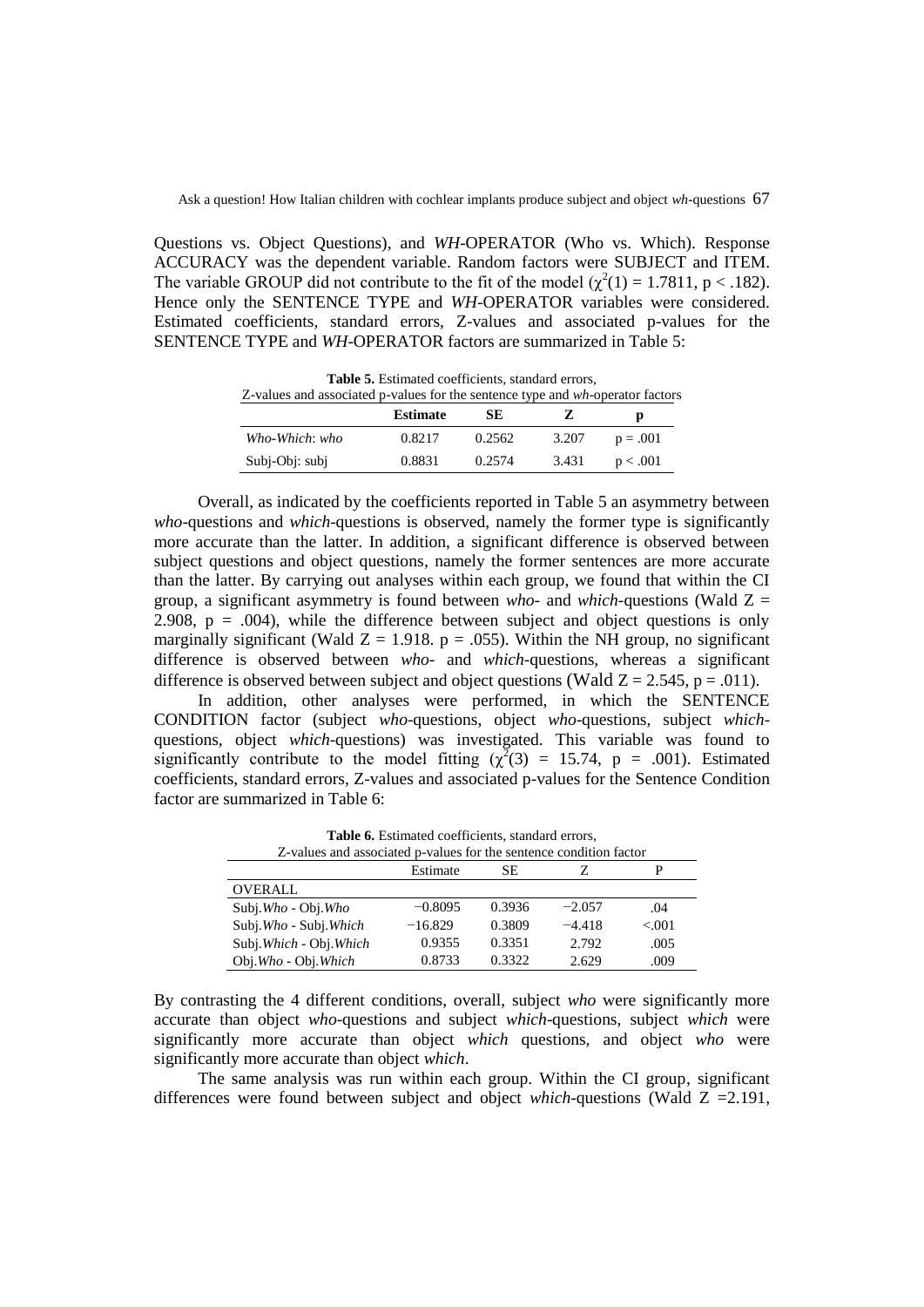Questions vs. Object Questions), and *WH*-OPERATOR (Who vs. Which). Response ACCURACY was the dependent variable. Random factors were SUBJECT and ITEM. The variable GROUP did not contribute to the fit of the model  $(\chi^2(1) = 1.7811, p < .182)$ . Hence only the SENTENCE TYPE and *WH*-OPERATOR variables were considered. Estimated coefficients, standard errors, Z-values and associated p-values for the SENTENCE TYPE and *WH*-OPERATOR factors are summarized in Table 5:

| <b>Table 5.</b> Estimated coefficients, standard cribis,<br>Z-values and associated p-values for the sentence type and wh-operator factors |                 |        |       |            |  |  |  |  |
|--------------------------------------------------------------------------------------------------------------------------------------------|-----------------|--------|-------|------------|--|--|--|--|
|                                                                                                                                            | <b>Estimate</b> | SE.    |       |            |  |  |  |  |
| Who-Which: who                                                                                                                             | 0.8217          | 0.2562 | 3.207 | $p = .001$ |  |  |  |  |

Subj-Obj: subj 0.8831 0.2574 3.431 p < .001

**Table 5.** Estimated coefficients, standard errors,

Overall, as indicated by the coefficients reported in Table 5 an asymmetry between *who*-questions and *which*-questions is observed, namely the former type is significantly more accurate than the latter. In addition, a significant difference is observed between subject questions and object questions, namely the former sentences are more accurate than the latter. By carrying out analyses within each group, we found that within the CI group, a significant asymmetry is found between *who-* and *which-*questions (Wald Z = 2.908,  $p = .004$ ), while the difference between subject and object questions is only marginally significant (Wald  $Z = 1.918$ . p = .055). Within the NH group, no significant difference is observed between *who-* and *which-*questions, whereas a significant difference is observed between subject and object questions (Wald  $Z = 2.545$ , p = .011).

In addition, other analyses were performed, in which the SENTENCE CONDITION factor (subject *who*-questions, object *who*-questions, subject *which*questions, object *which*-questions) was investigated. This variable was found to significantly contribute to the model fitting  $(\chi^2(3) = 15.74, p = .001)$ . Estimated coefficients, standard errors, Z-values and associated p-values for the Sentence Condition factor are summarized in Table 6:

| Z-values and associated p-values for the sentence condition factor |           |        |          |        |  |  |  |
|--------------------------------------------------------------------|-----------|--------|----------|--------|--|--|--|
|                                                                    | Estimate  | SЕ     |          |        |  |  |  |
| <b>OVERALL</b>                                                     |           |        |          |        |  |  |  |
| Subj. Who - Obj. Who                                               | $-0.8095$ | 0.3936 | $-2.057$ | .04    |  |  |  |
| Subj.Who - Subj.Which                                              | $-16.829$ | 0.3809 | $-4.418$ | < 0.01 |  |  |  |
| Subj. Which - Obj. Which                                           | 0.9355    | 0.3351 | 2.792    | .005   |  |  |  |
| Obj.Who - Obj.Which                                                | 0.8733    | 0.3322 | 2.629    | .009   |  |  |  |

Table **6.** Estimated coefficients, standard errors,

By contrasting the 4 different conditions, overall, subject *who* were significantly more accurate than object *who*-questions and subject *which*-questions, subject *which* were significantly more accurate than object *which* questions, and object *who* were significantly more accurate than object *which*.

The same analysis was run within each group. Within the CI group, significant differences were found between subject and object *which-*questions (Wald Z =2.191,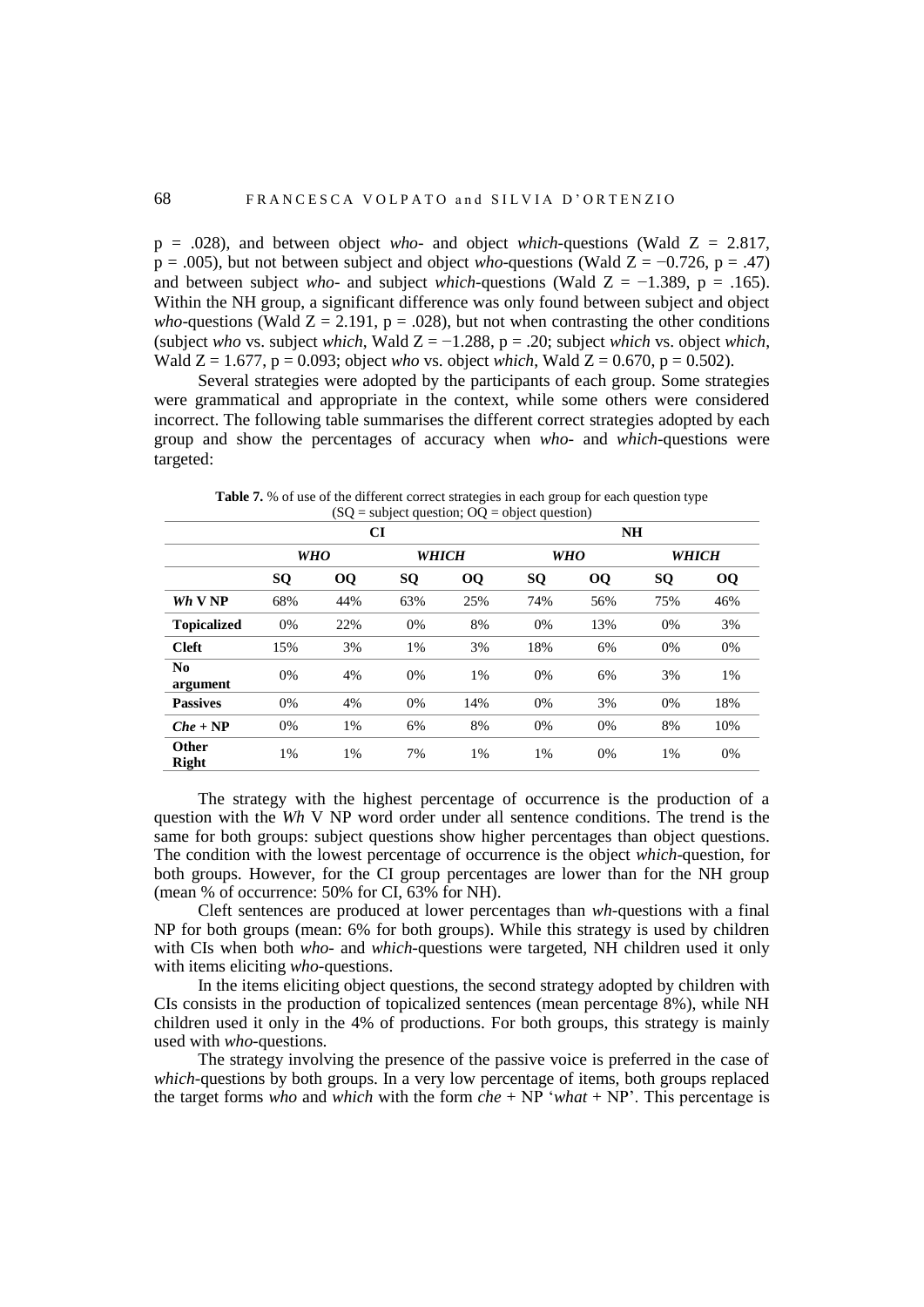p = .028), and between object *who-* and object *which-*questions (Wald Z = 2.817,  $p = .005$ ), but not between subject and object *who*-questions (Wald Z = −0.726, p = .47) and between subject *who*- and subject *which*-questions (Wald  $Z = -1.389$ ,  $p = .165$ ). Within the NH group, a significant difference was only found between subject and object *who*-questions (Wald  $Z = 2.191$ ,  $p = .028$ ), but not when contrasting the other conditions (subject *who* vs. subject *which*, Wald  $Z = -1.288$ ,  $p = .20$ ; subject *which* vs. object *which*, Wald  $Z = 1.677$ ,  $p = 0.093$ ; object *who* vs. object *which*, Wald  $Z = 0.670$ ,  $p = 0.502$ ).

Several strategies were adopted by the participants of each group. Some strategies were grammatical and appropriate in the context, while some others were considered incorrect. The following table summarises the different correct strategies adopted by each group and show the percentages of accuracy when *who-* and *which-*questions were targeted:

|                            | <b>CI</b>  |           |           |           | <b>NH</b>  |           |              |           |  |
|----------------------------|------------|-----------|-----------|-----------|------------|-----------|--------------|-----------|--|
|                            | <b>WHO</b> |           | WHICH     |           | <b>WHO</b> |           | <b>WHICH</b> |           |  |
|                            | SQ         | <b>OQ</b> | <b>SQ</b> | <b>OQ</b> | SQ         | <b>OQ</b> | SQ           | <b>OQ</b> |  |
| $Wh$ V NP                  | 68%        | 44%       | 63%       | 25%       | 74%        | 56%       | 75%          | 46%       |  |
| <b>Topicalized</b>         | 0%         | 22%       | 0%        | 8%        | 0%         | 13%       | 0%           | 3%        |  |
| <b>Cleft</b>               | 15%        | 3%        | 1%        | 3%        | 18%        | 6%        | 0%           | 0%        |  |
| N <sub>0</sub><br>argument | 0%         | 4%        | 0%        | 1%        | 0%         | 6%        | 3%           | 1%        |  |
| <b>Passives</b>            | 0%         | 4%        | 0%        | 14%       | 0%         | 3%        | 0%           | 18%       |  |
| $Che + NP$                 | 0%         | 1%        | 6%        | 8%        | $0\%$      | 0%        | 8%           | 10%       |  |
| Other<br><b>Right</b>      | 1%         | 1%        | 7%        | 1%        | 1%         | 0%        | 1%           | 0%        |  |

Table 7. % of use of the different correct strategies in each group for each question type  $(SQ = subject question; OQ = object question)$ 

The strategy with the highest percentage of occurrence is the production of a question with the *Wh* V NP word order under all sentence conditions. The trend is the same for both groups: subject questions show higher percentages than object questions. The condition with the lowest percentage of occurrence is the object *which*-question, for both groups. However, for the CI group percentages are lower than for the NH group (mean % of occurrence: 50% for CI, 63% for NH).

Cleft sentences are produced at lower percentages than *wh-*questions with a final NP for both groups (mean: 6% for both groups). While this strategy is used by children with CIs when both *who-* and *which-*questions were targeted, NH children used it only with items eliciting *who-*questions.

In the items eliciting object questions, the second strategy adopted by children with CIs consists in the production of topicalized sentences (mean percentage 8%), while NH children used it only in the 4% of productions. For both groups, this strategy is mainly used with *who-*questions.

The strategy involving the presence of the passive voice is preferred in the case of *which-*questions by both groups. In a very low percentage of items, both groups replaced the target forms *who* and *which* with the form *che* + NP '*what* + NP'. This percentage is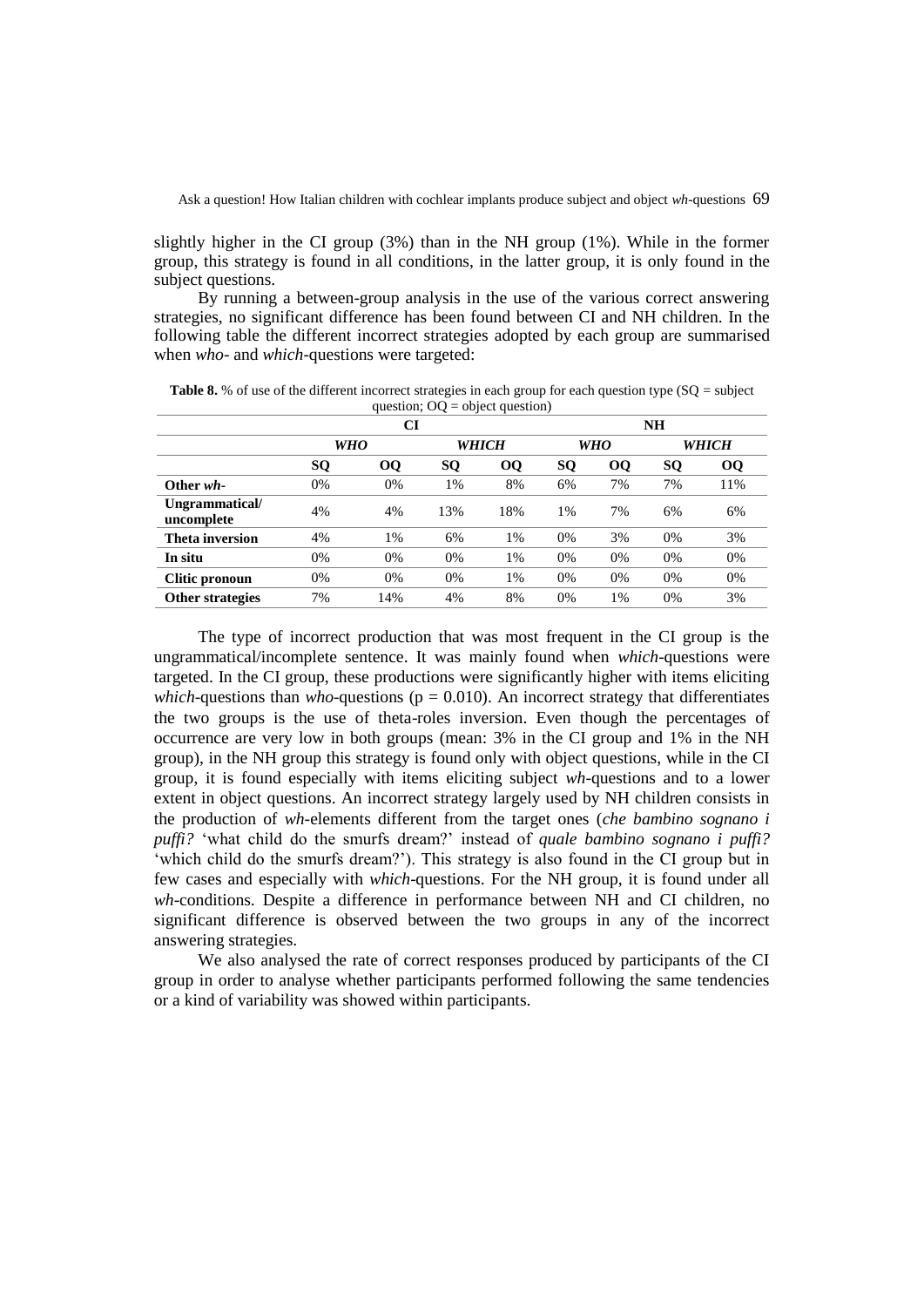slightly higher in the CI group (3%) than in the NH group (1%). While in the former group, this strategy is found in all conditions, in the latter group, it is only found in the subject questions.

By running a between-group analysis in the use of the various correct answering strategies, no significant difference has been found between CI and NH children. In the following table the different incorrect strategies adopted by each group are summarised when *who-* and *which-*questions were targeted:

|                              | CI         |           |              |           | <b>NH</b>  |    |           |           |  |
|------------------------------|------------|-----------|--------------|-----------|------------|----|-----------|-----------|--|
|                              | <b>WHO</b> |           | <b>WHICH</b> |           | <b>WHO</b> |    |           | WHICH     |  |
|                              | SQ         | <b>OQ</b> | <b>SQ</b>    | <b>OQ</b> | <b>SQ</b>  | 00 | <b>SQ</b> | <b>OQ</b> |  |
| Other wh-                    | 0%         | 0%        | 1%           | 8%        | 6%         | 7% | 7%        | 11%       |  |
| Ungrammatical/<br>uncomplete | 4%         | 4%        | 13%          | 18%       | 1%         | 7% | 6%        | 6%        |  |
| Theta inversion              | 4%         | 1%        | 6%           | 1%        | 0%         | 3% | 0%        | 3%        |  |
| In situ                      | 0%         | 0%        | 0%           | 1%        | 0%         | 0% | 0%        | 0%        |  |
| Clitic pronoun               | 0%         | 0%        | 0%           | 1%        | 0%         | 0% | 0%        | 0%        |  |
| <b>Other strategies</b>      | 7%         | 14%       | 4%           | 8%        | 0%         | 1% | 0%        | 3%        |  |

**Table 8.** % of use of the different incorrect strategies in each group for each question type (SQ = subject question;  $OQ =$  object question)

The type of incorrect production that was most frequent in the CI group is the ungrammatical/incomplete sentence. It was mainly found when *which*-questions were targeted. In the CI group, these productions were significantly higher with items eliciting *which*-questions than *who*-questions ( $p = 0.010$ ). An incorrect strategy that differentiates the two groups is the use of theta-roles inversion. Even though the percentages of occurrence are very low in both groups (mean: 3% in the CI group and 1% in the NH group), in the NH group this strategy is found only with object questions, while in the CI group, it is found especially with items eliciting subject *wh-*questions and to a lower extent in object questions. An incorrect strategy largely used by NH children consists in the production of *wh-*elements different from the target ones (*che bambino sognano i puffi?* 'what child do the smurfs dream?' instead of *quale bambino sognano i puffi?* 'which child do the smurfs dream?'). This strategy is also found in the CI group but in few cases and especially with *which*-questions. For the NH group, it is found under all *wh*-conditions. Despite a difference in performance between NH and CI children, no significant difference is observed between the two groups in any of the incorrect answering strategies.

We also analysed the rate of correct responses produced by participants of the CI group in order to analyse whether participants performed following the same tendencies or a kind of variability was showed within participants.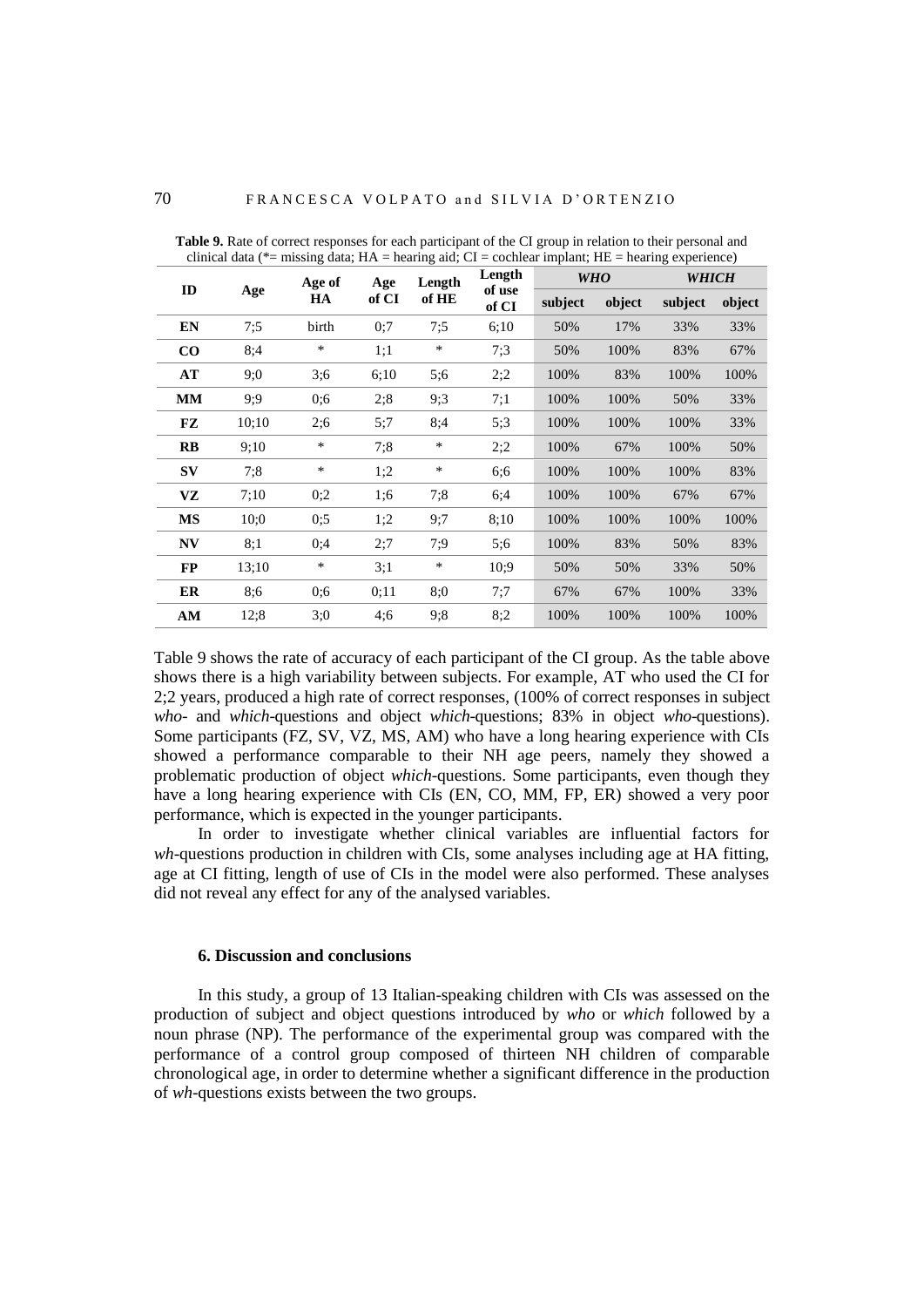| moonly wait, in a<br>$-$ manning and, $\circ$<br>$=$ coemean implime, $\mathbf{H}$<br>$-$ nearing experience, |       |        |       |                 |                 |         |            |         |        |
|---------------------------------------------------------------------------------------------------------------|-------|--------|-------|-----------------|-----------------|---------|------------|---------|--------|
| ID                                                                                                            |       | Age of | Age   | Length<br>of HE | Length          |         | <b>WHO</b> | WHICH   |        |
|                                                                                                               | Age   | HA     | of CI |                 | of use<br>of CI | subject | object     | subject | object |
| EN                                                                                                            | 7:5   | birth  | 0:7   | 7:5             | 6:10            | 50%     | 17%        | 33%     | 33%    |
| $\bf CO$                                                                                                      | 8:4   | $\ast$ | 1;1   | $\ast$          | 7:3             | 50%     | 100%       | 83%     | 67%    |
| AT                                                                                                            | 9:0   | 3:6    | 6;10  | 5:6             | 2:2             | 100%    | 83%        | 100%    | 100%   |
| <b>MM</b>                                                                                                     | 9:9   | 0:6    | 2:8   | 9:3             | 7:1             | 100%    | 100%       | 50%     | 33%    |
| FZ                                                                                                            | 10;10 | 2:6    | 5:7   | 8:4             | 5:3             | 100%    | 100%       | 100%    | 33%    |
| $\mathbf{R}$                                                                                                  | 9:10  | $\ast$ | 7:8   | $\ast$          | 2:2             | 100%    | 67%        | 100%    | 50%    |
| $S_{V}$                                                                                                       | 7:8   | $\ast$ | 1:2   | *               | 6;6             | 100%    | 100%       | 100%    | 83%    |
| VZ                                                                                                            | 7:10  | 0:2    | 1:6   | 7:8             | 6:4             | 100%    | 100%       | 67%     | 67%    |
| <b>MS</b>                                                                                                     | 10:0  | 0:5    | 1:2   | 9:7             | 8:10            | 100%    | 100%       | 100%    | 100%   |
| <b>NV</b>                                                                                                     | 8:1   | 0:4    | 2:7   | 7:9             | 5:6             | 100%    | 83%        | 50%     | 83%    |
| <b>FP</b>                                                                                                     | 13:10 | $\ast$ | 3:1   | $\ast$          | 10:9            | 50%     | 50%        | 33%     | 50%    |
| ER                                                                                                            | 8;6   | 0;6    | 0;11  | 8:0             | 7:7             | 67%     | 67%        | 100%    | 33%    |
| AM                                                                                                            | 12;8  | 3:0    | 4:6   | 9:8             | 8:2             | 100%    | 100%       | 100%    | 100%   |

**Table 9.** Rate of correct responses for each participant of the CI group in relation to their personal and clinical data ( $*$ = missing data; HA = hearing aid; CI = cochlear implant; HE = hearing experience)

Table 9 shows the rate of accuracy of each participant of the CI group. As the table above shows there is a high variability between subjects. For example, AT who used the CI for 2;2 years, produced a high rate of correct responses, (100% of correct responses in subject *who*- and *which*-questions and object *which*-questions; 83% in object *who*-questions). Some participants (FZ, SV, VZ, MS, AM) who have a long hearing experience with CIs showed a performance comparable to their NH age peers, namely they showed a problematic production of object *which*-questions. Some participants, even though they have a long hearing experience with CIs (EN, CO, MM, FP, ER) showed a very poor performance, which is expected in the younger participants.

In order to investigate whether clinical variables are influential factors for *wh*-questions production in children with CIs, some analyses including age at HA fitting, age at CI fitting, length of use of CIs in the model were also performed. These analyses did not reveal any effect for any of the analysed variables.

#### **6. Discussion and conclusions**

In this study, a group of 13 Italian-speaking children with CIs was assessed on the production of subject and object questions introduced by *who* or *which* followed by a noun phrase (NP). The performance of the experimental group was compared with the performance of a control group composed of thirteen NH children of comparable chronological age, in order to determine whether a significant difference in the production of *wh*-questions exists between the two groups.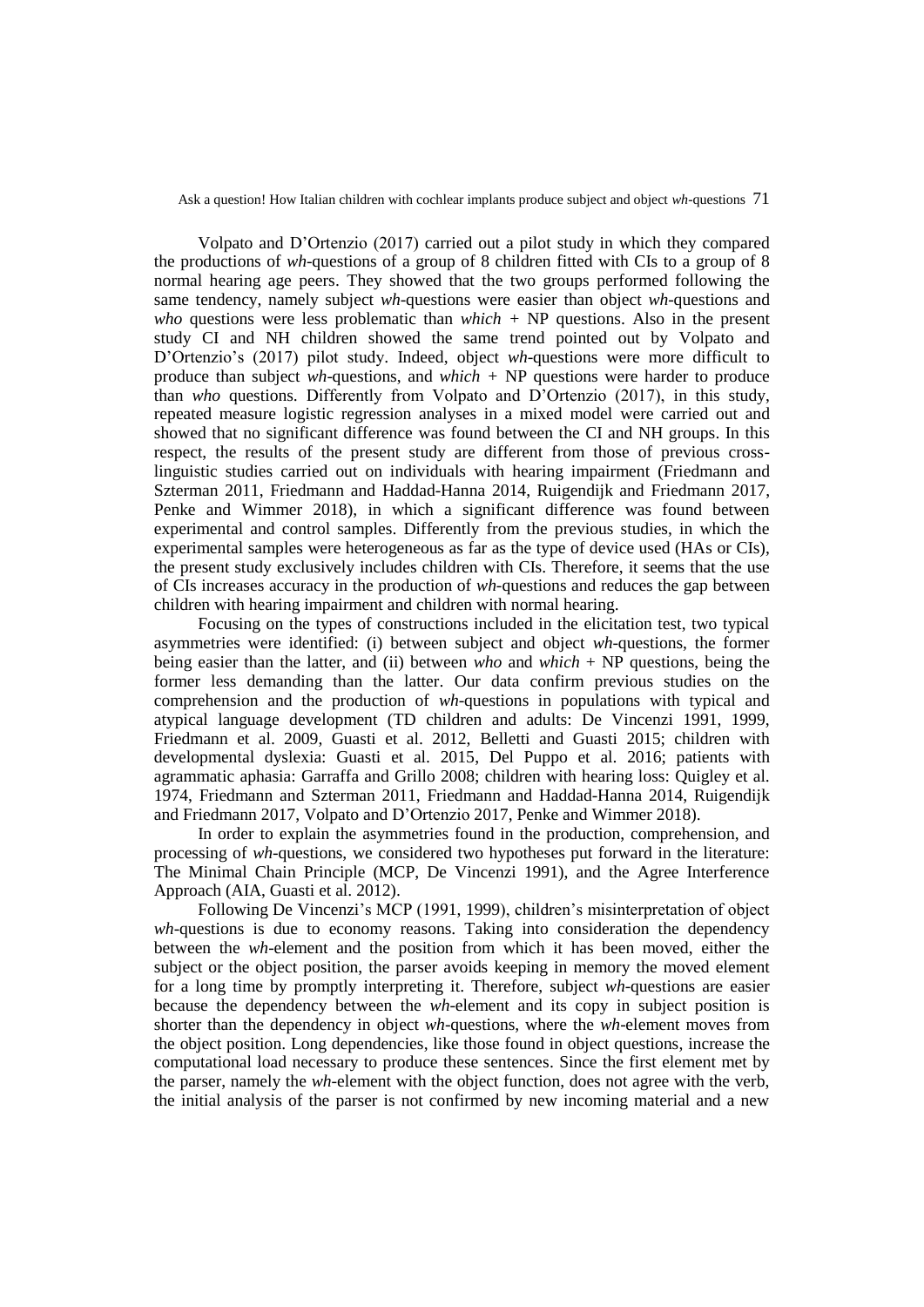Volpato and D'Ortenzio (2017) carried out a pilot study in which they compared the productions of *wh*-questions of a group of 8 children fitted with CIs to a group of 8 normal hearing age peers. They showed that the two groups performed following the same tendency, namely subject *wh*-questions were easier than object *wh*-questions and *who* questions were less problematic than *which +* NP questions. Also in the present study CI and NH children showed the same trend pointed out by Volpato and D'Ortenzio's (2017) pilot study. Indeed, object *wh*-questions were more difficult to produce than subject *wh*-questions, and *which +* NP questions were harder to produce than *who* questions. Differently from Volpato and D'Ortenzio (2017), in this study, repeated measure logistic regression analyses in a mixed model were carried out and showed that no significant difference was found between the CI and NH groups. In this respect, the results of the present study are different from those of previous crosslinguistic studies carried out on individuals with hearing impairment (Friedmann and Szterman 2011, Friedmann and Haddad-Hanna 2014, Ruigendijk and Friedmann 2017, Penke and Wimmer 2018), in which a significant difference was found between experimental and control samples. Differently from the previous studies, in which the experimental samples were heterogeneous as far as the type of device used (HAs or CIs), the present study exclusively includes children with CIs. Therefore, it seems that the use of CIs increases accuracy in the production of *wh-*questions and reduces the gap between children with hearing impairment and children with normal hearing.

Focusing on the types of constructions included in the elicitation test, two typical asymmetries were identified: (i) between subject and object *wh*-questions, the former being easier than the latter, and (ii) between *who* and *which* + NP questions, being the former less demanding than the latter. Our data confirm previous studies on the comprehension and the production of *wh*-questions in populations with typical and atypical language development (TD children and adults: De Vincenzi 1991, 1999, Friedmann et al. 2009, Guasti et al. 2012, Belletti and Guasti 2015; children with developmental dyslexia: Guasti et al. 2015, Del Puppo et al. 2016; patients with agrammatic aphasia: Garraffa and Grillo 2008; children with hearing loss: Quigley et al. 1974, Friedmann and Szterman 2011, Friedmann and Haddad-Hanna 2014, Ruigendijk and Friedmann 2017, Volpato and D'Ortenzio 2017, Penke and Wimmer 2018).

In order to explain the asymmetries found in the production, comprehension, and processing of *wh*-questions, we considered two hypotheses put forward in the literature: The Minimal Chain Principle (MCP, De Vincenzi 1991), and the Agree Interference Approach (AIA, Guasti et al. 2012).

Following De Vincenzi's MCP (1991, 1999), children's misinterpretation of object *wh*-questions is due to economy reasons. Taking into consideration the dependency between the *wh*-element and the position from which it has been moved, either the subject or the object position, the parser avoids keeping in memory the moved element for a long time by promptly interpreting it. Therefore, subject *wh*-questions are easier because the dependency between the *wh*-element and its copy in subject position is shorter than the dependency in object *wh*-questions, where the *wh*-element moves from the object position. Long dependencies, like those found in object questions, increase the computational load necessary to produce these sentences. Since the first element met by the parser, namely the *wh*-element with the object function, does not agree with the verb, the initial analysis of the parser is not confirmed by new incoming material and a new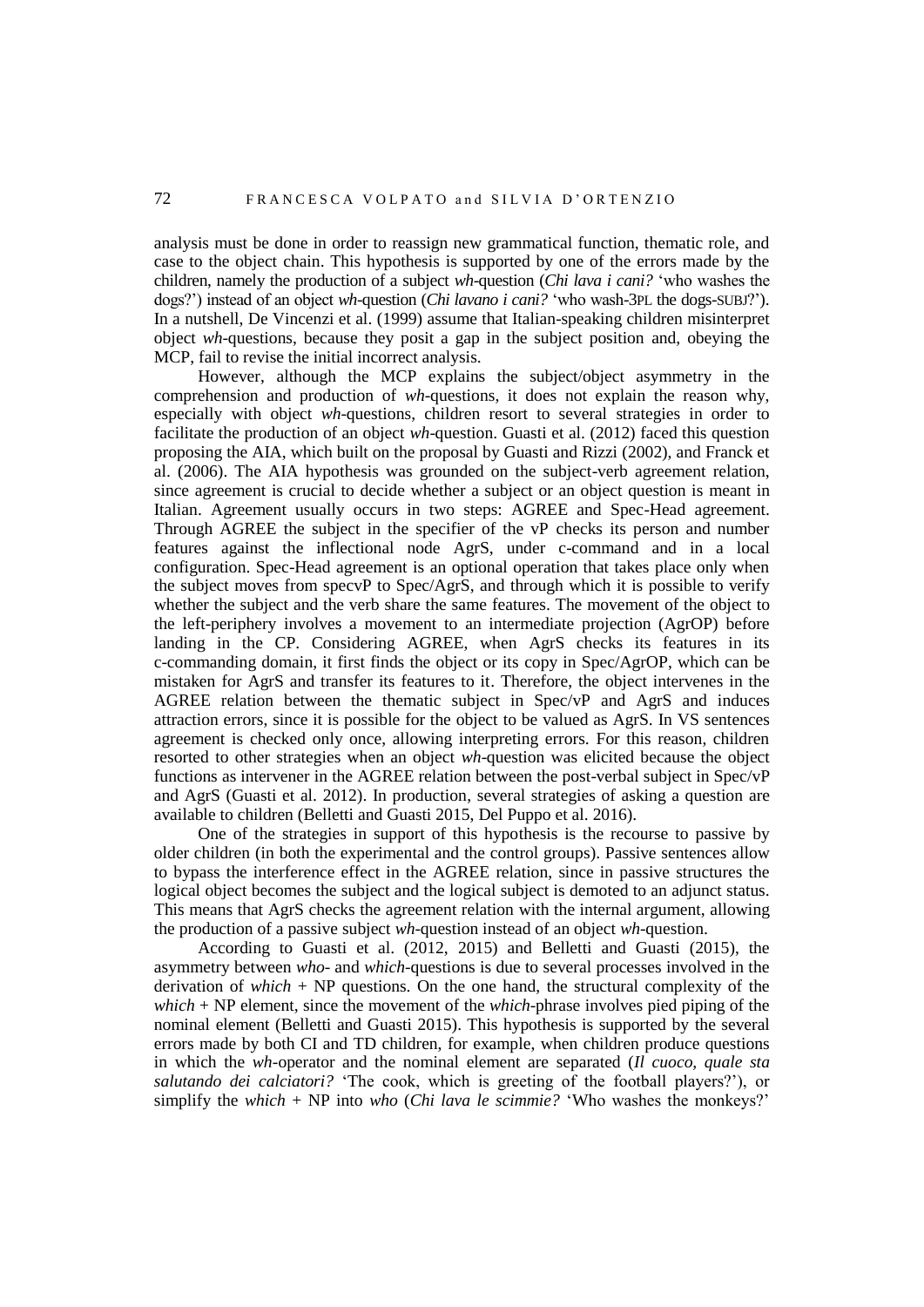analysis must be done in order to reassign new grammatical function, thematic role, and case to the object chain. This hypothesis is supported by one of the errors made by the children, namely the production of a subject *wh*-question (*Chi lava i cani?* 'who washes the dogs?') instead of an object *wh*-question (*Chi lavano i cani?* 'who wash-3PL the dogs-SUBJ?'). In a nutshell, De Vincenzi et al. (1999) assume that Italian-speaking children misinterpret object *wh*-questions, because they posit a gap in the subject position and, obeying the MCP, fail to revise the initial incorrect analysis.

However, although the MCP explains the subject/object asymmetry in the comprehension and production of *wh*-questions, it does not explain the reason why, especially with object *wh*-questions, children resort to several strategies in order to facilitate the production of an object *wh*-question. Guasti et al. (2012) faced this question proposing the AIA, which built on the proposal by Guasti and Rizzi (2002), and Franck et al. (2006). The AIA hypothesis was grounded on the subject-verb agreement relation, since agreement is crucial to decide whether a subject or an object question is meant in Italian. Agreement usually occurs in two steps: AGREE and Spec-Head agreement. Through AGREE the subject in the specifier of the vP checks its person and number features against the inflectional node AgrS, under c-command and in a local configuration. Spec-Head agreement is an optional operation that takes place only when the subject moves from specvP to Spec/AgrS, and through which it is possible to verify whether the subject and the verb share the same features. The movement of the object to the left-periphery involves a movement to an intermediate projection (AgrOP) before landing in the CP. Considering AGREE, when AgrS checks its features in its c-commanding domain, it first finds the object or its copy in Spec/AgrOP, which can be mistaken for AgrS and transfer its features to it. Therefore, the object intervenes in the AGREE relation between the thematic subject in Spec/vP and AgrS and induces attraction errors, since it is possible for the object to be valued as AgrS. In VS sentences agreement is checked only once, allowing interpreting errors. For this reason, children resorted to other strategies when an object *wh*-question was elicited because the object functions as intervener in the AGREE relation between the post-verbal subject in Spec/vP and AgrS (Guasti et al. 2012). In production, several strategies of asking a question are available to children (Belletti and Guasti 2015, Del Puppo et al. 2016).

One of the strategies in support of this hypothesis is the recourse to passive by older children (in both the experimental and the control groups). Passive sentences allow to bypass the interference effect in the AGREE relation, since in passive structures the logical object becomes the subject and the logical subject is demoted to an adjunct status. This means that AgrS checks the agreement relation with the internal argument, allowing the production of a passive subject *wh*-question instead of an object *wh*-question.

According to Guasti et al. (2012, 2015) and Belletti and Guasti (2015), the asymmetry between *who*- and *which-*questions is due to several processes involved in the derivation of *which* + NP questions. On the one hand, the structural complexity of the *which* + NP element, since the movement of the *which*-phrase involves pied piping of the nominal element (Belletti and Guasti 2015). This hypothesis is supported by the several errors made by both CI and TD children, for example, when children produce questions in which the *wh-*operator and the nominal element are separated (*Il cuoco, quale sta salutando dei calciatori?* 'The cook, which is greeting of the football players?'), or simplify the *which* + NP into *who* (*Chi lava le scimmie?* 'Who washes the monkeys?'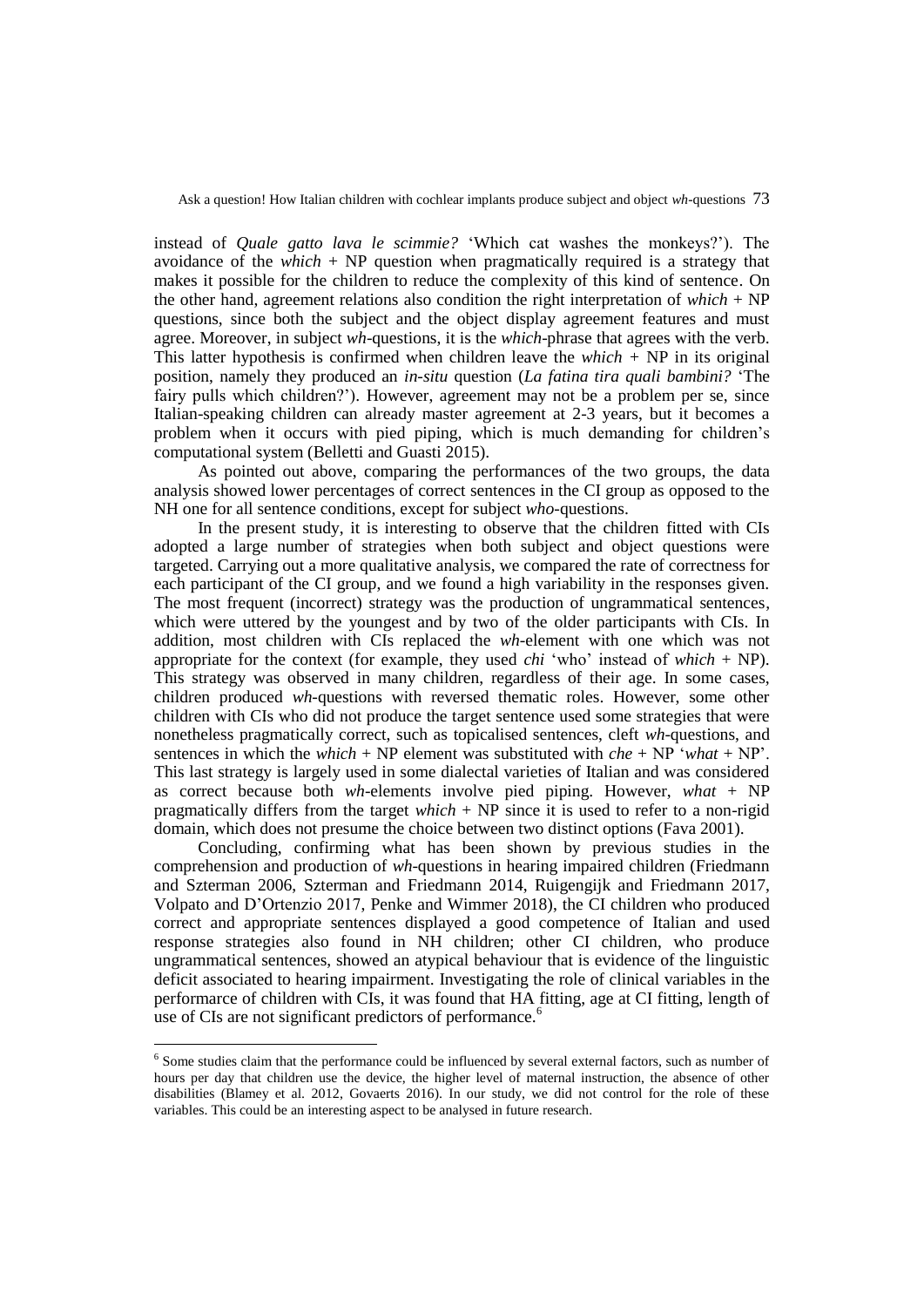instead of *Quale gatto lava le scimmie?* 'Which cat washes the monkeys?'). The avoidance of the *which* + NP question when pragmatically required is a strategy that makes it possible for the children to reduce the complexity of this kind of sentence. On the other hand, agreement relations also condition the right interpretation of  $which + NP$ questions, since both the subject and the object display agreement features and must agree. Moreover, in subject *wh*-questions, it is the *which*-phrase that agrees with the verb. This latter hypothesis is confirmed when children leave the *which*  $+ NP$  in its original position, namely they produced an *in-situ* question (*La fatina tira quali bambini?* 'The fairy pulls which children?'). However, agreement may not be a problem per se, since Italian-speaking children can already master agreement at 2-3 years, but it becomes a problem when it occurs with pied piping, which is much demanding for children's computational system (Belletti and Guasti 2015).

As pointed out above, comparing the performances of the two groups, the data analysis showed lower percentages of correct sentences in the CI group as opposed to the NH one for all sentence conditions, except for subject *who-*questions.

In the present study, it is interesting to observe that the children fitted with CIs adopted a large number of strategies when both subject and object questions were targeted. Carrying out a more qualitative analysis, we compared the rate of correctness for each participant of the CI group, and we found a high variability in the responses given. The most frequent (incorrect) strategy was the production of ungrammatical sentences, which were uttered by the youngest and by two of the older participants with CIs. In addition, most children with CIs replaced the *wh-*element with one which was not appropriate for the context (for example, they used *chi* 'who' instead of *which* + NP). This strategy was observed in many children, regardless of their age. In some cases, children produced *wh-*questions with reversed thematic roles. However, some other children with CIs who did not produce the target sentence used some strategies that were nonetheless pragmatically correct, such as topicalised sentences, cleft *wh*-questions, and sentences in which the *which* + NP element was substituted with *che* + NP '*what* + NP'. This last strategy is largely used in some dialectal varieties of Italian and was considered as correct because both *wh*-elements involve pied piping. However, *what* + NP pragmatically differs from the target *which* + NP since it is used to refer to a non-rigid domain, which does not presume the choice between two distinct options (Fava 2001).

Concluding, confirming what has been shown by previous studies in the comprehension and production of *wh*-questions in hearing impaired children (Friedmann and Szterman 2006, Szterman and Friedmann 2014, Ruigengijk and Friedmann 2017, Volpato and D'Ortenzio 2017, Penke and Wimmer 2018), the CI children who produced correct and appropriate sentences displayed a good competence of Italian and used response strategies also found in NH children; other CI children, who produce ungrammatical sentences, showed an atypical behaviour that is evidence of the linguistic deficit associated to hearing impairment. Investigating the role of clinical variables in the performarce of children with CIs, it was found that HA fitting, age at CI fitting, length of use of CIs are not significant predictors of performance.<sup>6</sup>

 $\overline{a}$ 

<sup>&</sup>lt;sup>6</sup> Some studies claim that the performance could be influenced by several external factors, such as number of hours per day that children use the device, the higher level of maternal instruction, the absence of other disabilities (Blamey et al. 2012, Govaerts 2016). In our study, we did not control for the role of these variables. This could be an interesting aspect to be analysed in future research.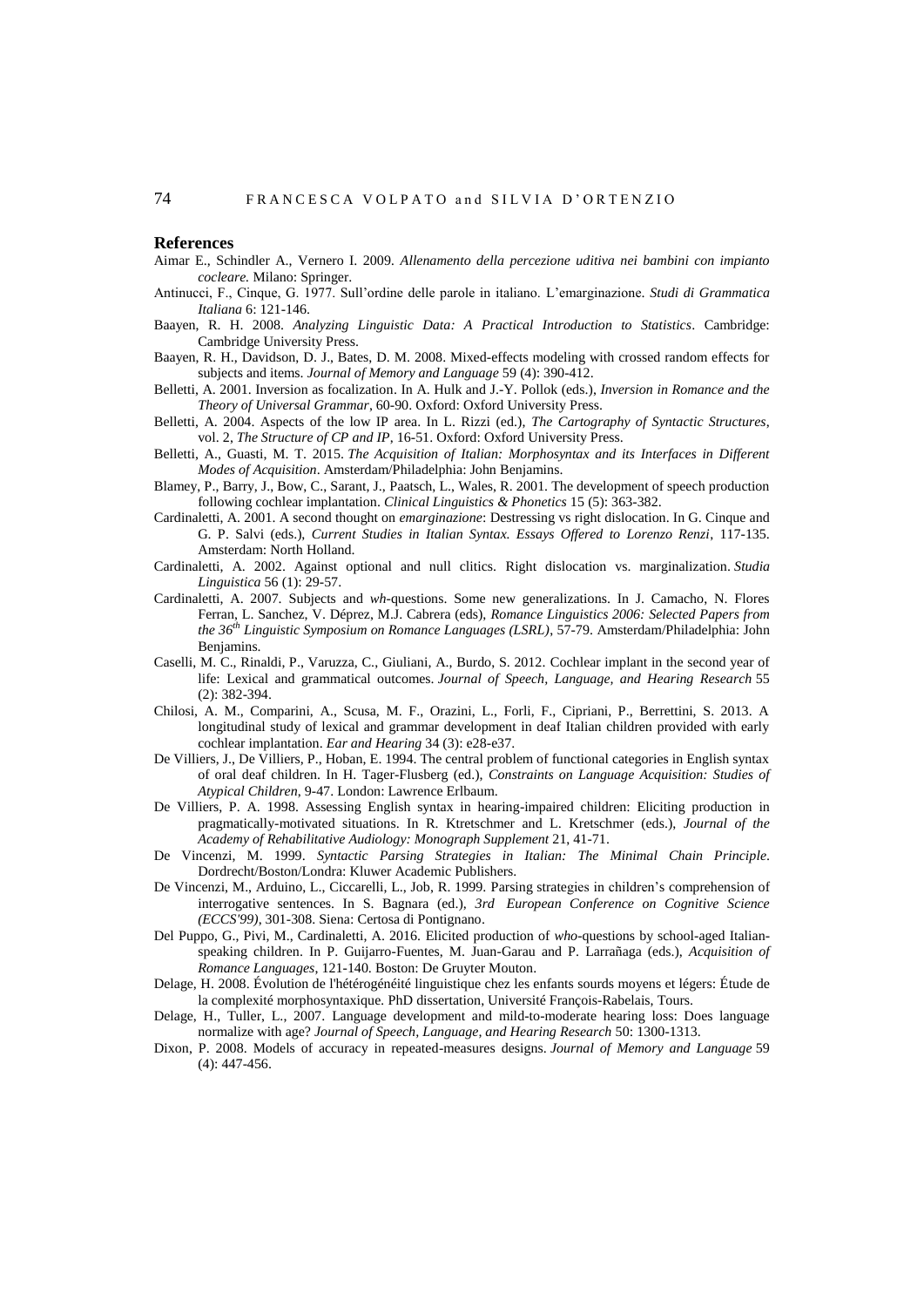#### **References**

- Aimar E., Schindler A., Vernero I. 2009*. Allenamento della percezione uditiva nei bambini con impianto cocleare.* Milano: Springer.
- Antinucci, F., Cinque, G. 1977. Sull'ordine delle parole in italiano. L'emarginazione. *Studi di Grammatica Italiana* 6: 121-146.
- Baayen, R. H. 2008. *Analyzing Linguistic Data: A Practical Introduction to Statistics*. Cambridge: Cambridge University Press.
- Baayen, R. H., Davidson, D. J., Bates, D. M. 2008. Mixed-effects modeling with crossed random effects for subjects and items. *Journal of Memory and Language* 59 (4): 390-412.
- Belletti, A. 2001. Inversion as focalization. In A. Hulk and J.-Y. Pollok (eds.), *Inversion in Romance and the Theory of Universal Grammar*, 60-90. Oxford: Oxford University Press.
- Belletti, A. 2004. Aspects of the low IP area. In L. Rizzi (ed.), *The Cartography of Syntactic Structures*, vol. 2, *The Structure of CP and IP*, 16-51. Oxford: Oxford University Press.
- Belletti, A., Guasti, M. T. 2015. *The Acquisition of Italian: Morphosyntax and its Interfaces in Different Modes of Acquisition*. Amsterdam/Philadelphia: John Benjamins.
- Blamey, P., Barry, J., Bow, C., Sarant, J., Paatsch, L., Wales, R. 2001. The development of speech production following cochlear implantation. *Clinical Linguistics & Phonetics* 15 (5): 363-382.
- Cardinaletti, A. 2001. A second thought on *emarginazione*: Destressing vs right dislocation. In G. Cinque and G. P. Salvi (eds.), *Current Studies in Italian Syntax. Essays Offered to Lorenzo Renzi*, 117-135. Amsterdam: North Holland.
- Cardinaletti, A. 2002. Against optional and null clitics. Right dislocation vs. marginalization. *Studia Linguistica* 56 (1): 29-57.
- Cardinaletti, A. 2007. Subjects and *wh*-questions. Some new generalizations. In J. Camacho, N. Flores Ferran, L. Sanchez, V. Déprez, M.J. Cabrera (eds), *Romance Linguistics 2006: Selected Papers from the 36th Linguistic Symposium on Romance Languages (LSRL)*, 57-79. Amsterdam/Philadelphia: John Benjamins.
- Caselli, M. C., Rinaldi, P., Varuzza, C., Giuliani, A., Burdo, S. 2012. Cochlear implant in the second year of life: Lexical and grammatical outcomes. *Journal of Speech, Language, and Hearing Research* 55 (2): 382-394.
- Chilosi, A. M., Comparini, A., Scusa, M. F., Orazini, L., Forli, F., Cipriani, P., Berrettini, S. 2013. A longitudinal study of lexical and grammar development in deaf Italian children provided with early cochlear implantation. *Ear and Hearing* 34 (3): e28-e37.
- De Villiers, J., De Villiers, P., Hoban, E. 1994. The central problem of functional categories in English syntax of oral deaf children. In H. Tager-Flusberg (ed.), *Constraints on Language Acquisition: Studies of Atypical Children*, 9-47. London: Lawrence Erlbaum.
- De Villiers, P. A. 1998. Assessing English syntax in hearing-impaired children: Eliciting production in pragmatically-motivated situations. In R. Ktretschmer and L. Kretschmer (eds.), *Journal of the Academy of Rehabilitative Audiology: Monograph Supplement* 21, 41-71.
- De Vincenzi, M. 1999. *Syntactic Parsing Strategies in Italian: The Minimal Chain Principle*. Dordrecht/Boston/Londra: Kluwer Academic Publishers.
- De Vincenzi, M., Arduino, L., Ciccarelli, L., Job, R. 1999. Parsing strategies in children's comprehension of interrogative sentences. In S. Bagnara (ed.), *3rd European Conference on Cognitive Science (ECCS'99)*, 301-308. Siena: Certosa di Pontignano.
- Del Puppo, G., Pivi, M., Cardinaletti, A. 2016. Elicited production of *who*-questions by school-aged Italianspeaking children. In P. Guijarro-Fuentes, M. Juan-Garau and P. Larrañaga (eds.), *Acquisition of Romance Languages*, 121-140. Boston: De Gruyter Mouton.
- Delage, H. 2008. Évolution de l'hétérogénéité linguistique chez les enfants sourds moyens et légers: Étude de la complexité morphosyntaxique*.* PhD dissertation, Université François-Rabelais, Tours.
- Delage, H., Tuller, L., 2007. Language development and mild-to-moderate hearing loss: Does language normalize with age? *Journal of Speech, Language, and Hearing Research* 50: 1300-1313.
- Dixon, P. 2008. Models of accuracy in repeated-measures designs. *Journal of Memory and Language* 59 (4): 447-456.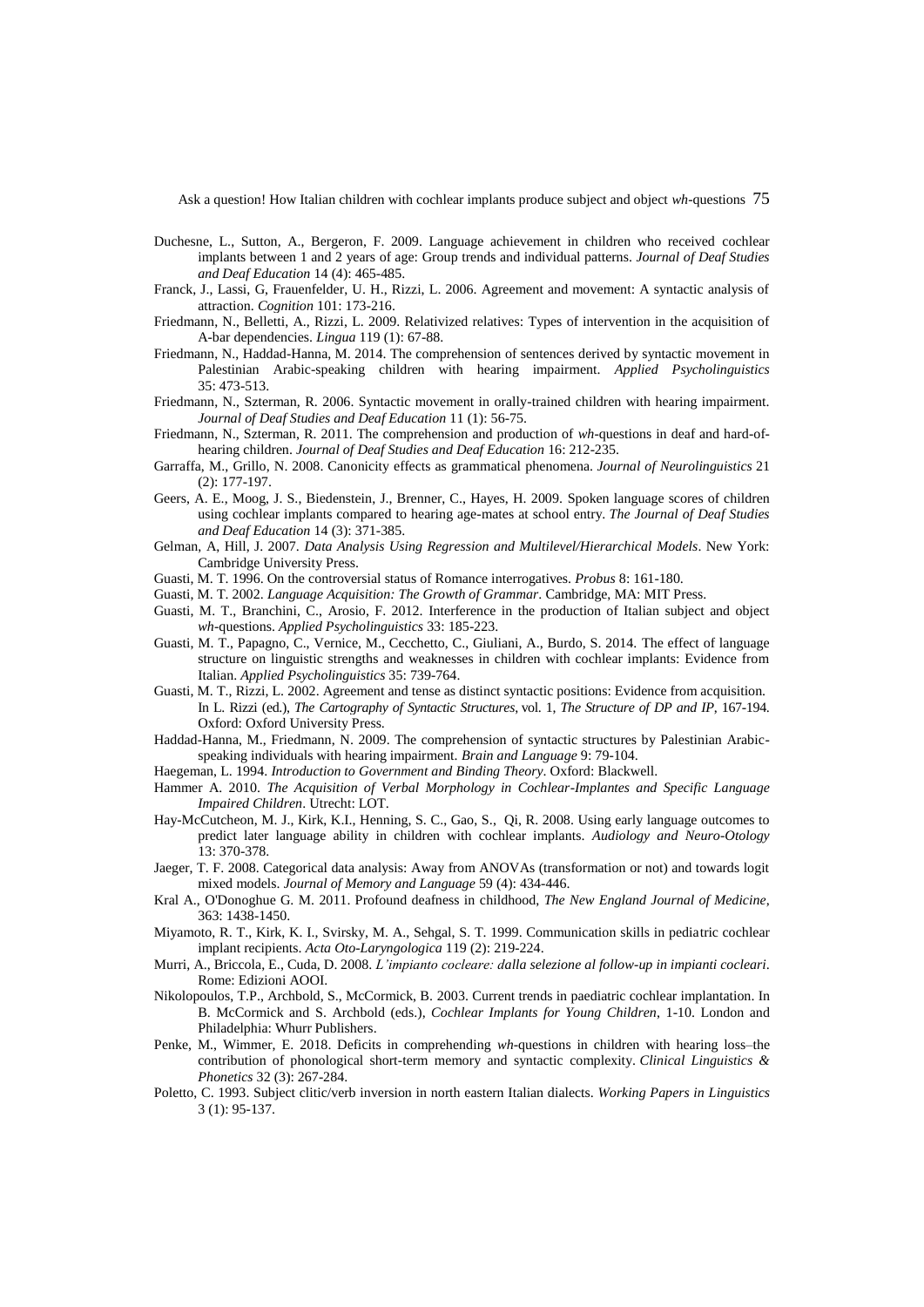- Duchesne, L., Sutton, A., Bergeron, F. 2009. Language achievement in children who received cochlear implants between 1 and 2 years of age: Group trends and individual patterns. *Journal of Deaf Studies and Deaf Education* 14 (4): 465-485.
- Franck, J., Lassi, G, Frauenfelder, U. H., Rizzi, L. 2006. Agreement and movement: A syntactic analysis of attraction. *Cognition* 101: 173-216.
- Friedmann, N., Belletti, A., Rizzi, L. 2009. Relativized relatives: Types of intervention in the acquisition of A-bar dependencies. *Lingua* 119 (1): 67-88.
- Friedmann, N., Haddad-Hanna, M. 2014. The comprehension of sentences derived by syntactic movement in Palestinian Arabic-speaking children with hearing impairment. *Applied Psycholinguistics* 35: 473-513.
- Friedmann, N., Szterman, R. 2006. Syntactic movement in orally-trained children with hearing impairment. *Journal of Deaf Studies and Deaf Education* 11 (1): 56-75.
- Friedmann, N., Szterman, R. 2011. The comprehension and production of *wh*-questions in deaf and hard-ofhearing children. *Journal of Deaf Studies and Deaf Education* 16: 212-235.
- Garraffa, M., Grillo, N. 2008. Canonicity effects as grammatical phenomena. *Journal of Neurolinguistics* 21 (2): 177-197.
- Geers, A. E., Moog, J. S., Biedenstein, J., Brenner, C., Hayes, H. 2009. Spoken language scores of children using cochlear implants compared to hearing age-mates at school entry. *The Journal of Deaf Studies and Deaf Education* 14 (3): 371-385.
- Gelman, A, Hill, J. 2007. *Data Analysis Using Regression and Multilevel/Hierarchical Models*. New York: Cambridge University Press.
- Guasti, M. T. 1996. On the controversial status of Romance interrogatives. *Probus* 8: 161-180.
- Guasti, M. T. 2002. *Language Acquisition: The Growth of Grammar*. Cambridge, MA: MIT Press.
- Guasti, M. T., Branchini, C., Arosio, F. 2012. Interference in the production of Italian subject and object *wh*-questions. *Applied Psycholinguistics* 33: 185-223.
- Guasti, M. T., Papagno, C., Vernice, M., Cecchetto, C., Giuliani, A., Burdo, S. 2014. The effect of language structure on linguistic strengths and weaknesses in children with cochlear implants: Evidence from Italian. *Applied Psycholinguistics* 35: 739-764.
- Guasti, M. T., Rizzi, L. 2002. Agreement and tense as distinct syntactic positions: Evidence from acquisition. In L. Rizzi (ed.), *The Cartography of Syntactic Structures*, vol. 1, *The Structure of DP and IP*, 167-194. Oxford: Oxford University Press.
- Haddad-Hanna, M., Friedmann, N. 2009. The comprehension of syntactic structures by Palestinian Arabicspeaking individuals with hearing impairment. *Brain and Language* 9: 79-104.
- Haegeman, L. 1994. *Introduction to Government and Binding Theory*. Oxford: Blackwell.
- Hammer A. 2010. *The Acquisition of Verbal Morphology in Cochlear-Implantes and Specific Language Impaired Children*. Utrecht: LOT.
- Hay-McCutcheon, M. J., Kirk, K.I., Henning, S. C., Gao, S., Qi, R. 2008. Using early language outcomes to predict later language ability in children with cochlear implants. *Audiology and Neuro-Otology* 13: 370-378.
- Jaeger, T. F. 2008. Categorical data analysis: Away from ANOVAs (transformation or not) and towards logit mixed models. *Journal of Memory and Language* 59 (4): 434-446.
- Kral A., O'Donoghue G. M. 2011. Profound deafness in childhood, *The New England Journal of Medicine*, 363: 1438-1450.
- Miyamoto, R. T., Kirk, K. I., Svirsky, M. A., Sehgal, S. T. 1999. Communication skills in pediatric cochlear implant recipients. *Acta Oto-Laryngologica* 119 (2): 219-224.
- Murri, A., Briccola, E., Cuda, D. 2008. *L'impianto cocleare: dalla selezione al follow-up in impianti cocleari*. Rome: Edizioni AOOI.
- Nikolopoulos, T.P., Archbold, S., McCormick, B. 2003. Current trends in paediatric cochlear implantation. In B. McCormick and S. Archbold (eds.), *Cochlear Implants for Young Children*, 1-10. London and Philadelphia: Whurr Publishers.
- Penke, M., Wimmer, E. 2018. Deficits in comprehending *wh*-questions in children with hearing loss–the contribution of phonological short-term memory and syntactic complexity. *Clinical Linguistics & Phonetics* 32 (3): 267-284.
- Poletto, C. 1993. Subject clitic/verb inversion in north eastern Italian dialects. *Working Papers in Linguistics*  3 (1): 95-137.